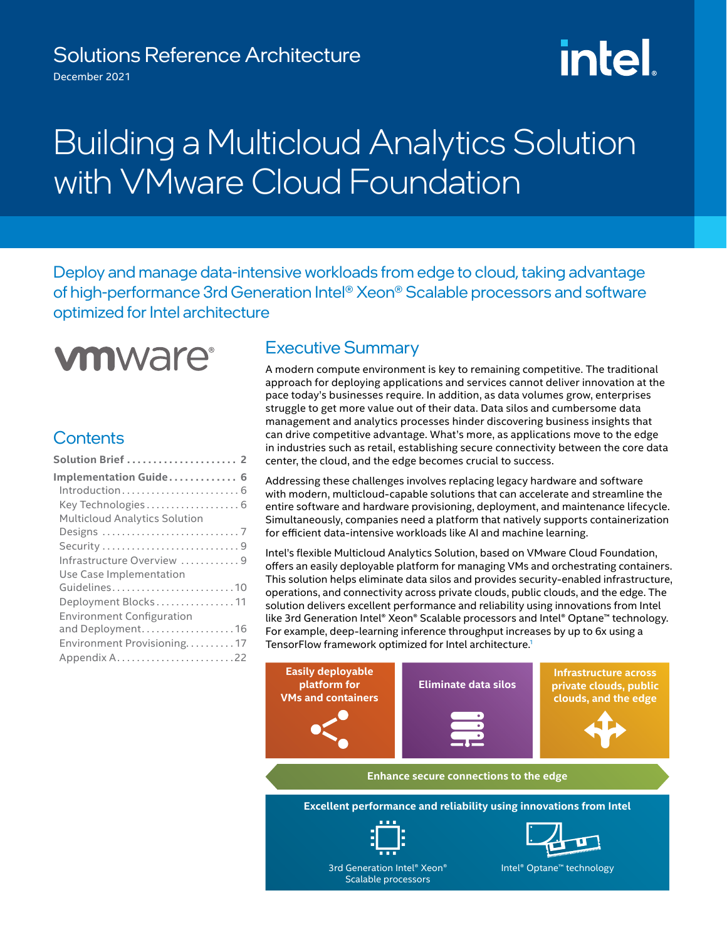## Solutions Reference Architecture

December 2021

# **intel**

## Building a Multicloud Analytics Solution with *VMware Cloud Foundation*

Deploy and manage data-intensive workloads from edge to cloud, taking advantage of high-performance 3rd Generation Intel® Xeon® Scalable processors and software optimized for Intel architecture



## **Contents**

| Solution Brief  2                                    |
|------------------------------------------------------|
| Implementation Guide 6                               |
| Key Technologies 6                                   |
| <b>Multicloud Analytics Solution</b>                 |
| Infrastructure Overview 9                            |
| Use Case Implementation                              |
| Guidelines10<br>Deployment Blocks11                  |
| <b>Environment Configuration</b><br>and Deployment16 |
| Environment Provisioning17                           |
|                                                      |

## Executive Summary

A modern compute environment is key to remaining competitive. The traditional approach for deploying applications and services cannot deliver innovation at the pace today's businesses require. In addition, as data volumes grow, enterprises struggle to get more value out of their data. Data silos and cumbersome data management and analytics processes hinder discovering business insights that can drive competitive advantage. What's more, as applications move to the edge in industries such as retail, establishing secure connectivity between the core data center, the cloud, and the edge becomes crucial to success.

Addressing these challenges involves replacing legacy hardware and software with modern, multicloud-capable solutions that can accelerate and streamline the entire software and hardware provisioning, deployment, and maintenance lifecycle. Simultaneously, companies need a platform that natively supports containerization for efficient data-intensive workloads like AI and machine learning.

Intel's flexible Multicloud Analytics Solution, based on VMware Cloud Foundation, offers an easily deployable platform for managing VMs and orchestrating containers. This solution helps eliminate data silos and provides security-enabled infrastructure, operations, and connectivity across private clouds, public clouds, and the edge. The solution delivers excellent performance and reliability using innovations from Intel like 3rd Generation Intel® Xeon® Scalable processors and Intel® Optane™ technology. For example, deep-learning inference throughput increases by up to 6x using a TensorFlow framework optimized for Intel architect[u](#page-22-0)re.<sup>1</sup>

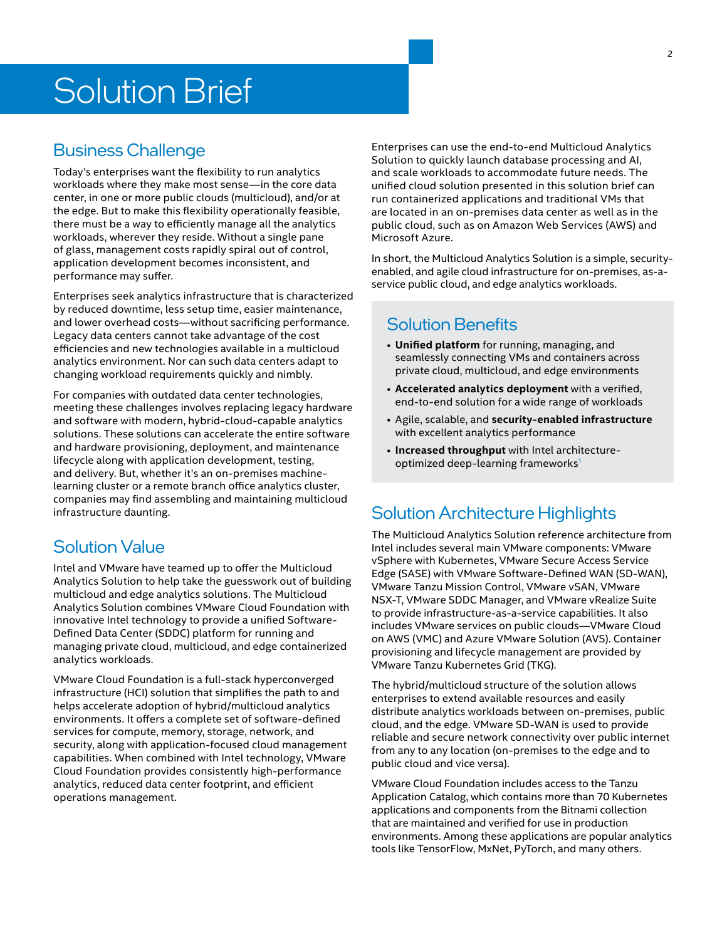## Solution Brief

## Business Challenge

Today's enterprises want the flexibility to run analytics workloads where they make most sense—in the core data center, in one or more public clouds (multicloud), and/or at the edge. But to make this flexibility operationally feasible, there must be a way to efficiently manage all the analytics workloads, wherever they reside. Without a single pane of glass, management costs rapidly spiral out of control, application development becomes inconsistent, and performance may suffer.

Enterprises seek analytics infrastructure that is characterized by reduced downtime, less setup time, easier maintenance, and lower overhead costs—without sacrificing performance. Legacy data centers cannot take advantage of the cost efficiencies and new technologies available in a multicloud analytics environment. Nor can such data centers adapt to changing workload requirements quickly and nimbly.

For companies with outdated data center technologies, meeting these challenges involves replacing legacy hardware and software with modern, hybrid-cloud-capable analytics solutions. These solutions can accelerate the entire software and hardware provisioning, deployment, and maintenance lifecycle along with application development, testing, and delivery. But, whether it's an on-premises machinelearning cluster or a remote branch office analytics cluster, companies may find assembling and maintaining multicloud infrastructure daunting.

## Solution Value

Intel and VMware have teamed up to offer the Multicloud Analytics Solution to help take the guesswork out of building multicloud and edge analytics solutions. The Multicloud Analytics Solution combines VMware Cloud Foundation with innovative Intel technology to provide a unified Software-Defined Data Center (SDDC) platform for running and managing private cloud, multicloud, and edge containerized analytics workloads.

VMware Cloud Foundation is a full-stack hyperconverged infrastructure (HCI) solution that simplifies the path to and helps accelerate adoption of hybrid/multicloud analytics environments. It offers a complete set of software-defined services for compute, memory, storage, network, and security, along with application-focused cloud management capabilities. When combined with Intel technology, VMware Cloud Foundation provides consistently high-performance analytics, reduced data center footprint, and efficient operations management.

Enterprises can use the end-to-end Multicloud Analytics Solution to quickly launch database processing and AI, and scale workloads to accommodate future needs. The unified cloud solution presented in this solution brief can run containerized applications and traditional VMs that are located in an on-premises data center as well as in the public cloud, such as on Amazon Web Services (AWS) and Microsoft Azure.

In short, the Multicloud Analytics Solution is a simple, securityenabled, and agile cloud infrastructure for on-premises, as-aservice public cloud, and edge analytics workloads.

## Solution Benefits

- **Unified platform** for running, managing, and seamlessly connecting VMs and containers across private cloud, multicloud, and edge environments
- **Accelerated analytics deployment** with a verified, end-to-end solution for a wide range of workloads
- Agile, scalable, and **security-enabled infrastructure**  with excellent analytics performance
- **Increased throughput** with Intel architectureoptimized deep-learning frameworks<sup>1</sup>

## <span id="page-1-0"></span>Solution Architecture Highlights

The Multicloud Analytics Solution reference architecture from Intel includes several main VMware components: VMware vSphere with Kubernetes, VMware Secure Access Service Edge (SASE) with VMware Software-Defined WAN (SD-WAN), VMware Tanzu Mission Control, VMware vSAN, VMware NSX-T, VMware SDDC Manager, and VMware vRealize Suite to provide infrastructure-as-a-service capabilities. It also includes VMware services on public clouds—VMware Cloud on AWS (VMC) and Azure VMware Solution (AVS). Container provisioning and lifecycle management are provided by VMware Tanzu Kubernetes Grid (TKG).

The hybrid/multicloud structure of the solution allows enterprises to extend available resources and easily distribute analytics workloads between on-premises, public cloud, and the edge. VMware SD-WAN is used to provide reliable and secure network connectivity over public internet from any to any location (on-premises to the edge and to public cloud and vice versa).

VMware Cloud Foundation includes access to the Tanzu Application Catalog, which contains more than 70 Kubernetes applications and components from the Bitnami collection that are maintained and verified for use in production environments. Among these applications are popular analytics tools like TensorFlow, MxNet, PyTorch, and many others.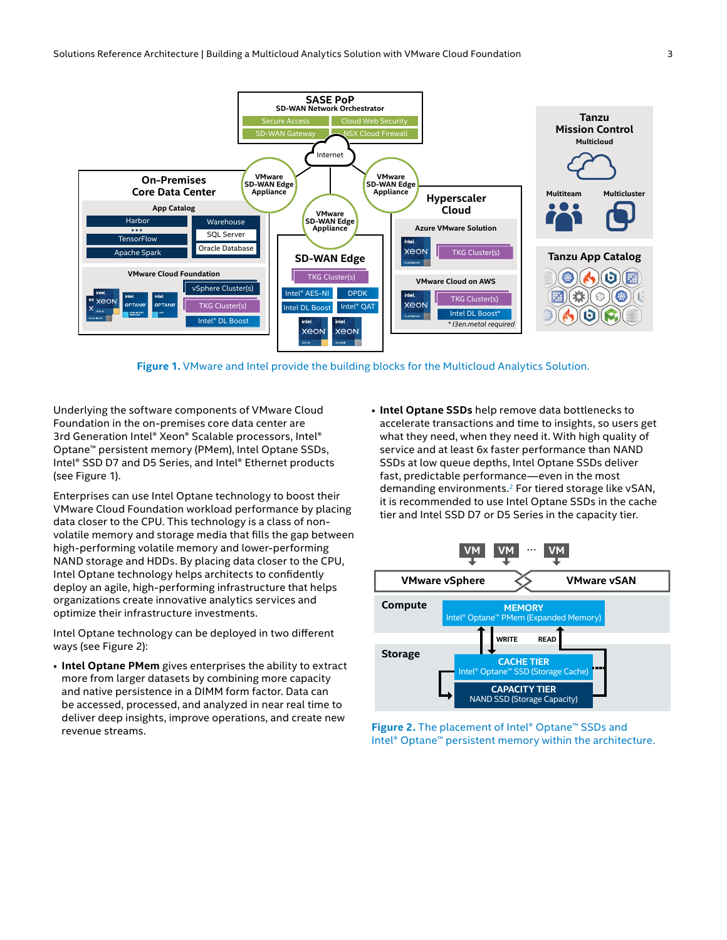

**Figure 1.** VMware and Intel provide the building blocks for the Multicloud Analytics Solution.

Underlying the software components of VMware Cloud Foundation in the on-premises core data center are 3rd Generation Intel® Xeon® Scalable processors, Intel® Optane™ persistent memory (PMem), Intel Optane SSDs, Intel® SSD D7 and D5 Series, and Intel® Ethernet products (see Figure 1).

Enterprises can use Intel Optane technology to boost their VMware Cloud Foundation workload performance by placing data closer to the CPU. This technology is a class of nonvolatile memory and storage media that fills the gap between high-performing volatile memory and lower-performing NAND storage and HDDs. By placing data closer to the CPU, Intel Optane technology helps architects to confidently deploy an agile, high-performing infrastructure that helps organizations create innovative analytics services and optimize their infrastructure investments.

Intel Optane technology can be deployed in two different ways (see Figure 2):

• **Intel Optane PMem** gives enterprises the ability to extract more from larger datasets by combining more capacity and native persistence in a DIMM form factor. Data can be accessed, processed, and analyzed in near real time to deliver deep insights, improve operations, and create new revenue streams.

• **Intel Optane SSDs** help remove data bottlenecks to accelerate transactions and time to insights, so users get what they need, when they need it. With high quality of service and at least 6x faster performance than NAND SSDs at low queue depths, Intel Optane SSDs deliver fast, predictable performance—even in the most demanding environments.<sup>[2](#page-22-1)</sup> For tiered storage like vSAN, it is recommended to use Intel Optane SSDs in the cache tier and Intel SSD D7 or D5 Series in the capacity tier.



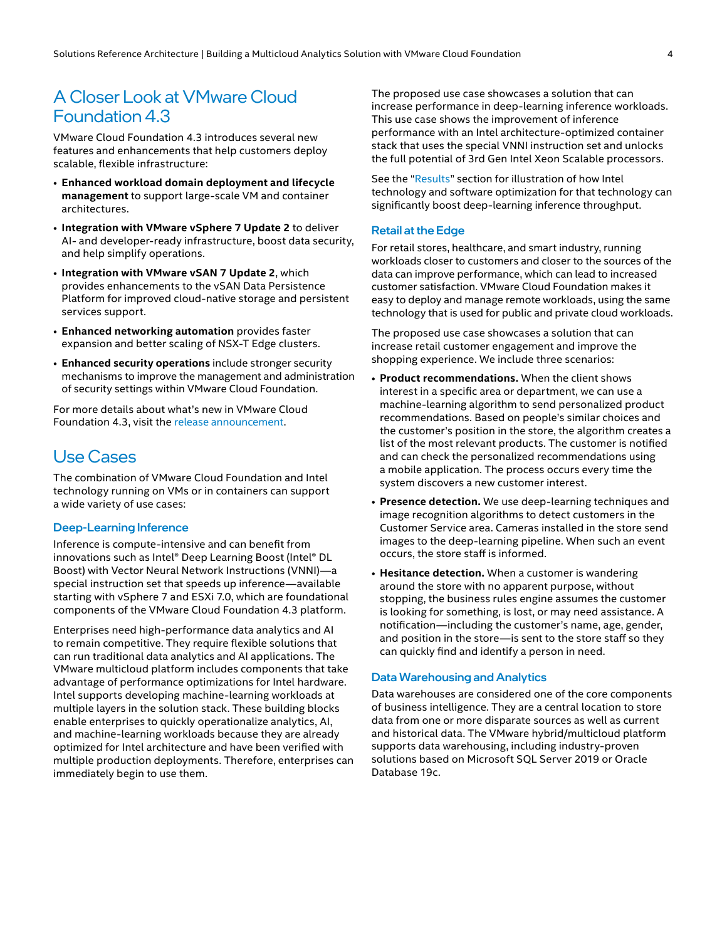## A Closer Look at VMware Cloud Foundation 4.3

VMware Cloud Foundation 4.3 introduces several new features and enhancements that help customers deploy scalable, flexible infrastructure:

- **Enhanced workload domain deployment and lifecycle management** to support large-scale VM and container architectures.
- **Integration with VMware vSphere 7 Update 2** to deliver AI- and developer-ready infrastructure, boost data security, and help simplify operations.
- **Integration with VMware vSAN 7 Update 2**, which provides enhancements to the vSAN Data Persistence Platform for improved cloud-native storage and persistent services support.
- **Enhanced networking automation** provides faster expansion and better scaling of NSX-T Edge clusters.
- **Enhanced security operations** include stronger security mechanisms to improve the management and administration of security settings within VMware Cloud Foundation.

For more details about what's new in VMware Cloud Foundation 4.3, visit the [release announcement](https://blogs.vmware.com/cloud-foundation/2021/08/24/general-availability-of-vmware-cloud-foundation-4-3/).

## Use Cases

The combination of VMware Cloud Foundation and Intel technology running on VMs or in containers can support a wide variety of use cases:

#### Deep-Learning Inference

Inference is compute-intensive and can benefit from innovations such as Intel® Deep Learning Boost (Intel® DL Boost) with Vector Neural Network Instructions (VNNI)—a special instruction set that speeds up inference—available starting with vSphere 7 and ESXi 7.0, which are foundational components of the VMware Cloud Foundation 4.3 platform.

Enterprises need high-performance data analytics and AI to remain competitive. They require flexible solutions that can run traditional data analytics and AI applications. The VMware multicloud platform includes components that take advantage of performance optimizations for Intel hardware. Intel supports developing machine-learning workloads at multiple layers in the solution stack. These building blocks enable enterprises to quickly operationalize analytics, AI, and machine-learning workloads because they are already optimized for Intel architecture and have been verified with multiple production deployments. Therefore, enterprises can immediately begin to use them.

The proposed use case showcases a solution that can increase performance in deep-learning inference workloads. This use case shows the improvement of inference performance with an Intel architecture-optimized container stack that uses the special VNNI instruction set and unlocks the full potential of 3rd Gen Intel Xeon Scalable processors.

See the "[Results](#page-4-0)" section for illustration of how Intel technology and software optimization for that technology can significantly boost deep‑learning inference throughput.

#### Retail at the Edge

For retail stores, healthcare, and smart industry, running workloads closer to customers and closer to the sources of the data can improve performance, which can lead to increased customer satisfaction. VMware Cloud Foundation makes it easy to deploy and manage remote workloads, using the same technology that is used for public and private cloud workloads.

The proposed use case showcases a solution that can increase retail customer engagement and improve the shopping experience. We include three scenarios:

- **Product recommendations.** When the client shows interest in a specific area or department, we can use a machine-learning algorithm to send personalized product recommendations. Based on people's similar choices and the customer's position in the store, the algorithm creates a list of the most relevant products. The customer is notified and can check the personalized recommendations using a mobile application. The process occurs every time the system discovers a new customer interest.
- **Presence detection.** We use deep-learning techniques and image recognition algorithms to detect customers in the Customer Service area. Cameras installed in the store send images to the deep-learning pipeline. When such an event occurs, the store staff is informed.
- **Hesitance detection.** When a customer is wandering around the store with no apparent purpose, without stopping, the business rules engine assumes the customer is looking for something, is lost, or may need assistance. A notification—including the customer's name, age, gender, and position in the store—is sent to the store staff so they can quickly find and identify a person in need.

#### Data Warehousing and Analytics

Data warehouses are considered one of the core components of business intelligence. They are a central location to store data from one or more disparate sources as well as current and historical data. The VMware hybrid/multicloud platform supports data warehousing, including industry-proven solutions based on Microsoft SQL Server 2019 or Oracle Database 19c.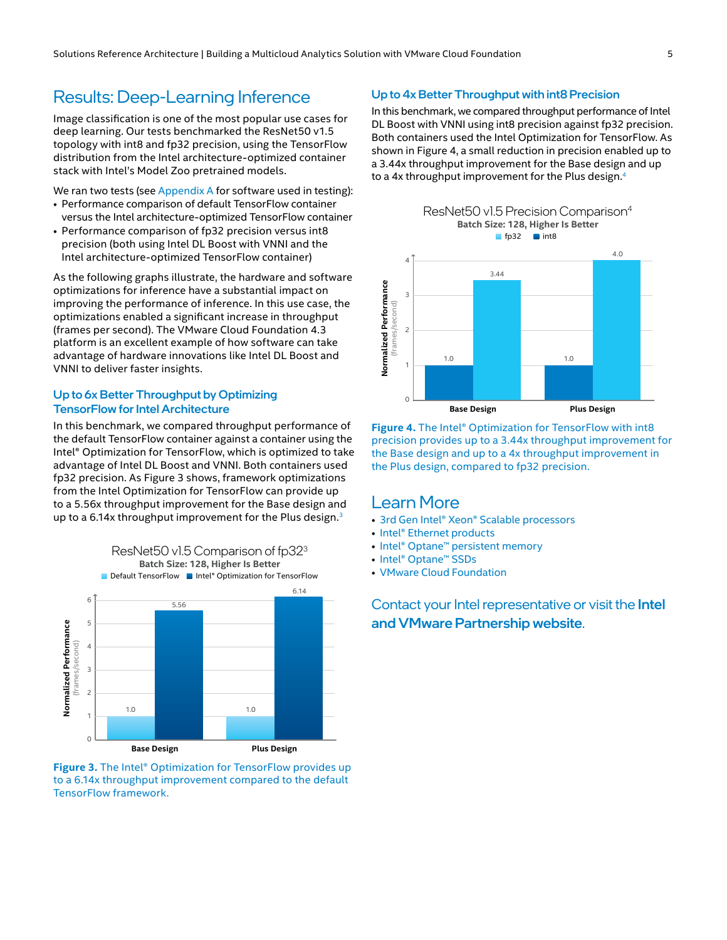## <span id="page-4-0"></span>Results: Deep-Learning Inference

Image classification is one of the most popular use cases for deep learning. Our tests benchmarked the ResNet50 v1.5 topology with int8 and fp32 precision, using the TensorFlow distribution from the Intel architecture-optimized container stack with Intel's Model Zoo pretrained models.

We ran two tests (see [Appendix A](#page-21-1) for software used in testing):

- Performance comparison of default TensorFlow container versus the Intel architecture-optimized TensorFlow container
- Performance comparison of fp32 precision versus int8 precision (both using Intel DL Boost with VNNI and the Intel architecture-optimized TensorFlow container)

As the following graphs illustrate, the hardware and software optimizations for inference have a substantial impact on improving the performance of inference. In this use case, the optimizations enabled a significant increase in throughput (frames per second). The VMware Cloud Foundation 4.3 platform is an excellent example of how software can take advantage of hardware innovations like Intel DL Boost and VNNI to deliver faster insights.

#### Up to 6x Better Throughput by Optimizing TensorFlow for Intel Architecture

In this benchmark, we compared throughput performance of the default TensorFlow container against a container using the Intel® Optimization for TensorFlow, which is optimized to take advantage of Intel DL Boost and VNNI. Both containers used fp32 precision. As Figure 3 shows, framework optimizations from the Intel Optimization for TensorFlow can provide up to a 5.56x throughput improvement for the Base design and up to a 6.14x throughput improvement for the Plus design. $3$ 



**Figure 3.** The Intel® Optimization for TensorFlow provides up to a 6.14x throughput improvement compared to the default TensorFlow framework.

#### Up to 4x Better Throughput with int8 Precision

In this benchmark, we compared throughput performance of Intel DL Boost with VNNI using int8 precision against fp32 precision. Both containers used the Intel Optimization for TensorFlow. As shown in Figure 4, a small reduction in precision enabled up to a 3.44x throughput improvement for the Base design and up to a [4](#page-22-3)x throughput improvement for the Plus design.<sup>4</sup>



**Figure 4.** The Intel® Optimization for TensorFlow with int8 precision provides up to a 3.44x throughput improvement for the Base design and up to a 4x throughput improvement in the Plus design, compared to fp32 precision.

### Learn More

- [3rd Gen Intel® Xeon® Scalable processors](https://www.intel.com/content/www/us/en/products/details/processors/xeon/scalable.html)
- [Intel® Ethernet products](https://www.intel.com/content/www/us/en/architecture-and-technology/ethernet.html)
- [Intel® Optane™ persistent memory](https://www.intel.com/content/www/us/en/architecture-and-technology/optane-dc-persistent-memory.html)
- [Intel® Optane™ SSDs](https://www.intel.com/content/www/us/en/products/details/memory-storage/data-center-ssds/optane-dc-ssd-series.html)
- [VMware Cloud Foundation](https://www.vmware.com/products/cloud-foundation.html)

Contact your Intel representative or visit the [Intel](https://www.intel.com/content/www/us/en/partner/showcase/vmware/overview.html)  [and VMware Partnership website](https://www.intel.com/content/www/us/en/partner/showcase/vmware/overview.html).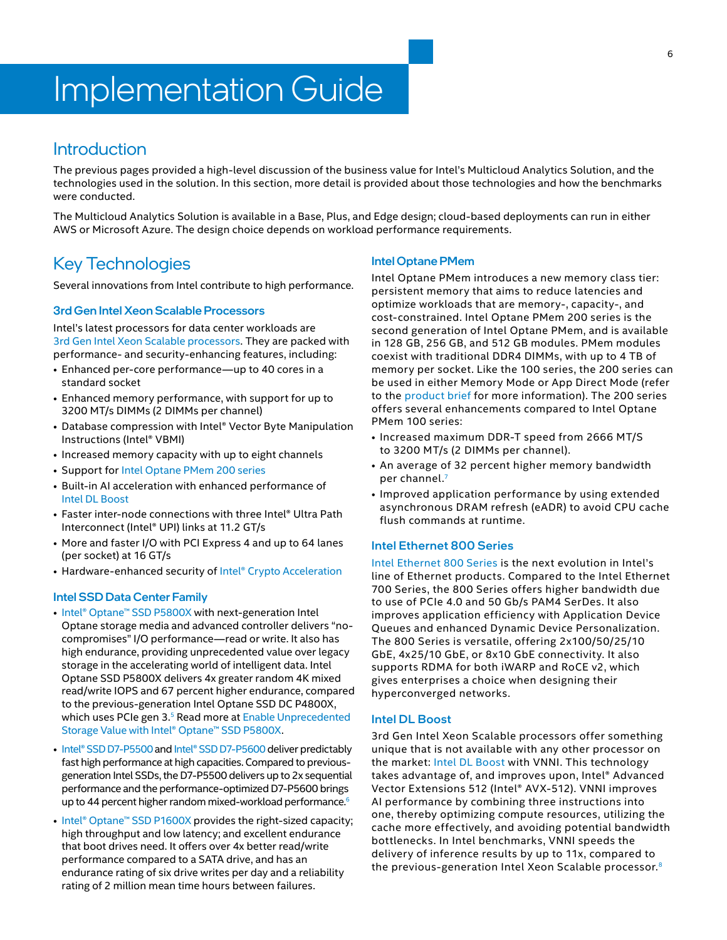## <span id="page-5-0"></span>Implementation Guide

## **Introduction**

The previous pages provided a high-level discussion of the business value for Intel's Multicloud Analytics Solution, and the technologies used in the solution. In this section, more detail is provided about those technologies and how the benchmarks were conducted.

The Multicloud Analytics Solution is available in a Base, Plus, and Edge design; cloud-based deployments can run in either AWS or Microsoft Azure. The design choice depends on workload performance requirements.

## Key Technologies

Several innovations from Intel contribute to high performance.

#### 3rd Gen Intel Xeon Scalable Processors

Intel's latest processors for data center workloads are 3rd [Gen Intel Xeon Scalable processors.](https://www.intel.com/content/www/us/en/newsroom/news/3rd-gen-xeon-scalable-processors.html) They are packed with performance- and security-enhancing features, including:

- Enhanced per-core performance—up to 40 cores in a standard socket
- Enhanced memory performance, with support for up to 3200 MT/s DIMMs (2 DIMMs per channel)
- Database compression with Intel® Vector Byte Manipulation Instructions (Intel® VBMI)
- Increased memory capacity with up to eight channels
- Support for [Intel Optane PMem 200 series](https://www.intel.com/content/dam/www/public/us/en/documents/product-briefs/optane-persistent-memory-200-series-brief.pdf)
- Built-in AI acceleration with enhanced performance of Intel [DL Boost](https://www.intel.com/content/www/us/en/artificial-intelligence/deep-learning-boost.html)
- Faster inter-node connections with three Intel® Ultra Path Interconnect (Intel® UPI) links at 11.2 GT/s
- More and faster I/O with PCI Express 4 and up to 64 lanes (per socket) at 16 GT/s
- Hardware-enhanced security of [Intel® Crypto Acceleration](https://newsroom.intel.com/articles/crypto-acceleration-enabling-path-future-computing/)

#### Intel SSD Data Center Family

- [Intel® Optane™ SSD P5800X](https://www.intel.com/content/www/us/en/products/docs/memory-storage/solid-state-drives/data-center-ssds/optane-ssd-p5800x-p5801x-brief.html) with next-generation Intel Optane storage media and advanced controller delivers "nocompromises" I/O performance—read or write. It also has high endurance, providing unprecedented value over legacy storage in the accelerating world of intelligent data. Intel Optane SSD P5800X delivers 4x greater random 4K mixed read/write IOPS and 67 percent higher endurance, compared to the previous-generation Intel Optane SSD DC P4800X, which uses PCIe gen 3.<sup>5</sup> Read more at Enable Unprecedented [Storage Value with Intel® Optane™ SSD P5800X](https://newsroom.intel.com/wp-content/uploads/sites/11/2020/12/Enable-Unprecedented-Storage-Value-with-Intel-Optane-SSD-P5800X-David-Tuhy.pdf).
- [Intel® SSD D7-P5500 and](https://www.intel.com/content/www/us/en/products/docs/memory-storage/solid-state-drives/data-center-ssds/d7-p5600-p5500-series-brief.html) Intel® SSD D7-P5600 deliver predictably fast high performance at high capacities. Compared to previousgeneration Intel SSDs, the D7-P5500 delivers up to 2x sequential performance and the performance-optimized D7-P5600 brings up to 44 percent higher random mixed-workload performance.<sup>6</sup>
- [Intel® Optane™ SSD P1600X](https://www.intel.com/content/www/us/en/products/docs/memory-storage/solid-state-drives/data-center-ssds/optane-ssd-p1600x-brief.html) provides the right-sized capacity; high throughput and low latency; and excellent endurance that boot drives need. It offers over 4x better read/write performance compared to a SATA drive, and has an endurance rating of six drive writes per day and a reliability rating of 2 million mean time hours between failures.

#### Intel Optane PMem

Intel Optane PMem introduces a new memory class tier: persistent memory that aims to reduce latencies and optimize workloads that are memory-, capacity-, and cost-constrained. Intel Optane PMem 200 series is the second generation of Intel Optane PMem, and is available in 128 GB, 256 GB, and 512 GB modules. PMem modules coexist with traditional DDR4 DIMMs, with up to 4 TB of memory per socket. Like the 100 series, the 200 series can be used in either Memory Mode or App Direct Mode (refer to the [product brief](https://www.intel.com/content/dam/www/public/us/en/documents/product-briefs/optane-persistent-memory-200-series-brief.pdf) for more information). The 200 series offers several enhancements compared to Intel Optane PMem 100 series:

- Increased maximum DDR-T speed from 2666 MT/S to 3200 MT/s (2 DIMMs per channel).
- An average of 32 percent higher memory bandwidth per channel.<sup>7</sup>
- Improved application performance by using extended asynchronous DRAM refresh (eADR) to avoid CPU cache flush commands at runtime.

#### Intel Ethernet 800 Series

[Intel Ethernet 800 Series](https://www.intel.com/content/www/us/en/architecture-and-technology/ethernet.html) is the next evolution in Intel's line of Ethernet products. Compared to the Intel Ethernet 700 Series, the 800 Series offers higher bandwidth due to use of PCIe 4.0 and 50 Gb/s PAM4 SerDes. It also improves application efficiency with Application Device Queues and enhanced Dynamic Device Personalization. The 800 Series is versatile, offering 2x100/50/25/10 GbE, 4x25/10 GbE, or 8x10 GbE connectivity. It also supports RDMA for both iWARP and RoCE v2, which gives enterprises a choice when designing their hyperconverged networks.

#### Intel DL Boost

3rd Gen Intel Xeon Scalable processors offer something unique that is not available with any other processor on the market: [Intel DL Boost](https://www.intel.com/content/www/us/en/artificial-intelligence/deep-learning-boost.html) with VNNI. This technology takes advantage of, and improves upon, Intel® Advanced Vector Extensions 512 (Intel® AVX-512). VNNI improves AI performance by combining three instructions into one, thereby optimizing compute resources, utilizing the cache more effectively, and avoiding potential bandwidth bottlenecks. In Intel benchmarks, VNNI speeds the delivery of inference results by up to 11x, compared to the previous-generation Intel Xeon Scalable processor.[8](#page-22-7)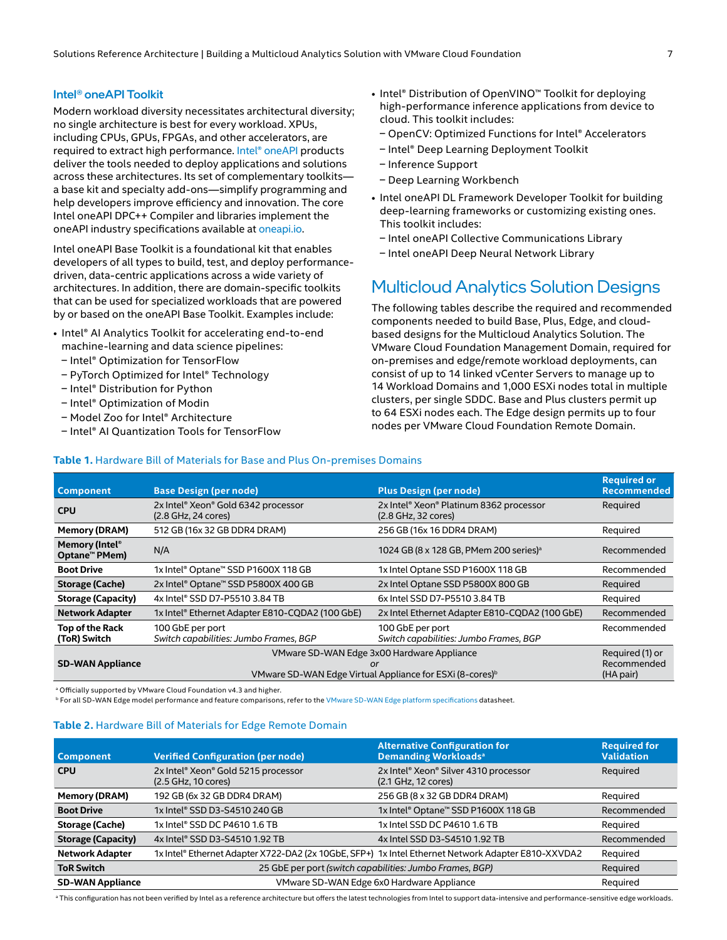#### <span id="page-6-0"></span>Intel® oneAPI Toolkit

Modern workload diversity necessitates architectural diversity; no single architecture is best for every workload. XPUs, including CPUs, GPUs, FPGAs, and other accelerators, are required to extract high performance. [Intel® oneAPI](https://www.intel.com/content/www/us/en/developer/tools/oneapi/overview.html#gs.hhezic) products deliver the tools needed to deploy applications and solutions across these architectures. Its set of complementary toolkits a base kit and specialty add-ons—simplify programming and help developers improve efficiency and innovation. The core Intel oneAPI DPC++ Compiler and libraries implement the oneAPI industry specifications available at [oneapi.io](https://www.oneapi.io/).

Intel oneAPI Base Toolkit is a foundational kit that enables developers of all types to build, test, and deploy performancedriven, data-centric applications across a wide variety of architectures. In addition, there are domain-specific toolkits that can be used for specialized workloads that are powered by or based on the oneAPI Base Toolkit. Examples include:

**Table 1.** Hardware Bill of Materials for Base and Plus On-premises Domains

- Intel® AI Analytics Toolkit for accelerating end-to-end machine-learning and data science pipelines:
- Intel® Optimization for TensorFlow
- PyTorch Optimized for Intel® Technology
- Intel® Distribution for Python
- Intel<sup>®</sup> Optimization of Modin
- Model Zoo for Intel® Architecture
- Intel® AI Quantization Tools for TensorFlow
- Intel® Distribution of OpenVINO™ Toolkit for deploying high-performance inference applications from device to cloud. This toolkit includes:
	- n OpenCV: Optimized Functions for Intel® Accelerators
	- Intel® Deep Learning Deployment Toolkit
- Inference Support
- Deep Learning Workbench
- Intel oneAPI DL Framework Developer Toolkit for building deep-learning frameworks or customizing existing ones. This toolkit includes:
	- Intel oneAPI Collective Communications Library
- Intel oneAPI Deep Neural Network Library

## Multicloud Analytics Solution Designs

The following tables describe the required and recommended components needed to build Base, Plus, Edge, and cloudbased designs for the Multicloud Analytics Solution. The VMware Cloud Foundation Management Domain, required for on-premises and edge/remote workload deployments, can consist of up to 14 linked vCenter Servers to manage up to 14 Workload Domains and 1,000 ESXi nodes total in multiple clusters, per single SDDC. Base and Plus clusters permit up to 64 ESXi nodes each. The Edge design permits up to four nodes per VMware Cloud Foundation Remote Domain.

| <b>Component</b>                            | <b>Base Design (per node)</b>                                                                                            | <b>Plus Design (per node)</b>                                  | <b>Required or</b><br><b>Recommended</b>    |
|---------------------------------------------|--------------------------------------------------------------------------------------------------------------------------|----------------------------------------------------------------|---------------------------------------------|
| <b>CPU</b>                                  | 2x Intel® Xeon® Gold 6342 processor<br>(2.8 GHz, 24 cores)                                                               | 2x Intel® Xeon® Platinum 8362 processor<br>(2.8 GHz, 32 cores) | Required                                    |
| <b>Memory (DRAM)</b>                        | 512 GB (16x 32 GB DDR4 DRAM)                                                                                             | 256 GB (16x 16 DDR4 DRAM)                                      | Required                                    |
| Memory (Intel <sup>®</sup><br>Optane™ PMem) | N/A                                                                                                                      | 1024 GB (8 x 128 GB, PMem 200 series) <sup>a</sup>             | Recommended                                 |
| <b>Boot Drive</b>                           | 1x Intel® Optane™ SSD P1600X 118 GB                                                                                      | 1x Intel Optane SSD P1600X 118 GB                              | Recommended                                 |
| <b>Storage (Cache)</b>                      | 2x Intel® Optane™ SSD P5800X 400 GB                                                                                      | 2x Intel Optane SSD P5800X 800 GB                              | Reguired                                    |
| <b>Storage (Capacity)</b>                   | 4x Intel® SSD D7-P5510 3.84 TB<br>6x Intel SSD D7-P5510 3.84 TB                                                          |                                                                | Required                                    |
| <b>Network Adapter</b>                      | 1x Intel® Ethernet Adapter E810-CQDA2 (100 GbE)                                                                          | 2x Intel Ethernet Adapter E810-CQDA2 (100 GbE)                 | Recommended                                 |
| Top of the Rack<br>(ToR) Switch             | 100 GbE per port<br>Switch capabilities: Jumbo Frames, BGP                                                               | 100 GbE per port<br>Switch capabilities: Jumbo Frames, BGP     | Recommended                                 |
| <b>SD-WAN Appliance</b>                     | VMware SD-WAN Edge 3x00 Hardware Appliance<br>or<br>VMware SD-WAN Edge Virtual Appliance for ESXi (8-cores) <sup>b</sup> |                                                                | Required (1) or<br>Recommended<br>(HA pair) |

a Officially supported by VMware Cloud Foundation v4.3 and higher.

**b For all SD-WAN Edge model performance and feature comparisons, refer to the [VMware SD-WAN Edge platform specifications](https://sase.vmware.com/content/dam/digitalmarketing/vmware-sase/pdfs/sdwan-712-edge-platform-spec-ds-0320.pdf) datasheet.** 

#### **Table 2.** Hardware Bill of Materials for Edge Remote Domain

| <b>Component</b>          | <b>Verified Configuration (per node)</b>                                                           | <b>Alternative Configuration for</b><br><b>Demanding Workloads<sup>a</sup></b> | <b>Required for</b><br><b>Validation</b> |
|---------------------------|----------------------------------------------------------------------------------------------------|--------------------------------------------------------------------------------|------------------------------------------|
| <b>CPU</b>                | 2x Intel® Xeon® Gold 5215 processor<br>(2.5 GHz, 10 cores)                                         | 2x Intel® Xeon® Silver 4310 processor<br>(2.1 GHz, 12 cores)                   | Reguired                                 |
| Memory (DRAM)             | 192 GB (6x 32 GB DDR4 DRAM)                                                                        | 256 GB (8 x 32 GB DDR4 DRAM)                                                   | Reguired                                 |
| <b>Boot Drive</b>         | 1x Intel® SSD D3-S4510 240 GB                                                                      | 1x Intel® Optane™ SSD P1600X 118 GB                                            | Recommended                              |
| Storage (Cache)           | 1x Intel® SSD DC P4610 1.6 TB                                                                      | 1x Intel SSD DC P4610 1.6 TB                                                   | Reguired                                 |
| <b>Storage (Capacity)</b> | 4x Intel® SSD D3-S4510 1.92 TB                                                                     | 4x Intel SSD D3-S4510 1.92 TB                                                  | Recommended                              |
| <b>Network Adapter</b>    | 1x Intel® Ethernet Adapter X722-DA2 (2x 10GbE, SFP+) 1x Intel Ethernet Network Adapter E810-XXVDA2 |                                                                                | Required                                 |
| <b>ToR Switch</b>         |                                                                                                    | 25 GbE per port (switch capabilities: Jumbo Frames, BGP)                       | Required                                 |
| <b>SD-WAN Appliance</b>   |                                                                                                    | VMware SD-WAN Edge 6x0 Hardware Appliance                                      | Required                                 |

<sup>a</sup> This configuration has not been verified by Intel as a reference architecture but offers the latest technologies from Intel to support data-intensive and performance-sensitive edge workloads.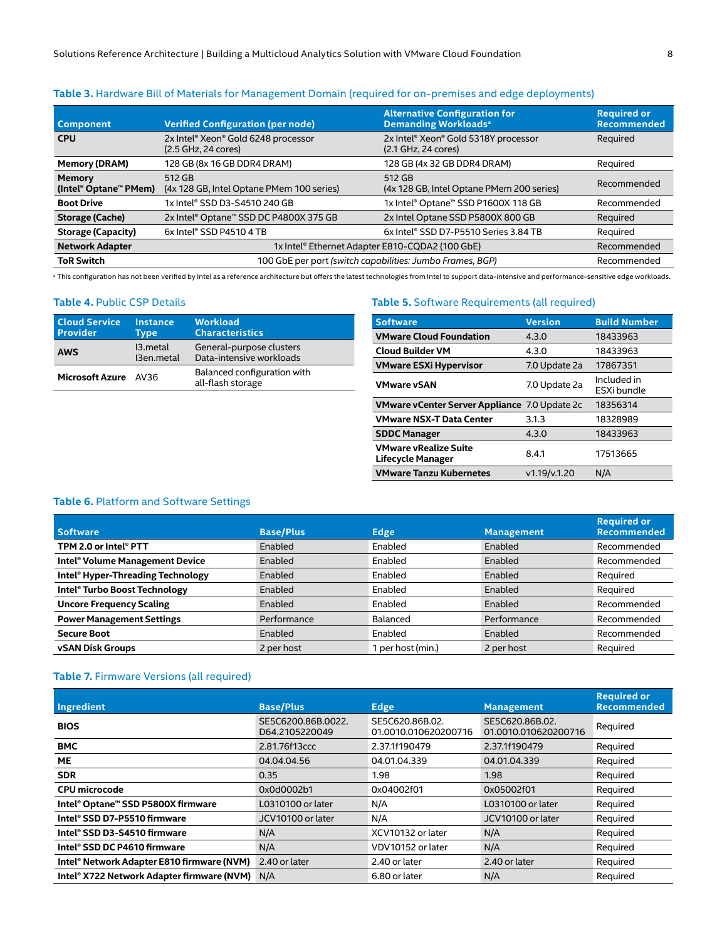| <b>Component</b>                       | <b>Verified Configuration (per node)</b>                   | <b>Alternative Configuration for</b><br><b>Demanding Workloads</b> <sup>a</sup> | <b>Required or</b><br><b>Recommended</b> |
|----------------------------------------|------------------------------------------------------------|---------------------------------------------------------------------------------|------------------------------------------|
| <b>CPU</b>                             | 2x Intel® Xeon® Gold 6248 processor<br>(2.5 GHz, 24 cores) | 2x Intel® Xeon® Gold 5318Y processor<br>(2.1 GHz, 24 cores)                     | Required                                 |
| <b>Memory (DRAM)</b>                   | 128 GB (8x 16 GB DDR4 DRAM)                                | 128 GB (4x 32 GB DDR4 DRAM)                                                     | Required                                 |
| <b>Memory</b><br>(Intel® Optane™ PMem) | 512 GB<br>(4x 128 GB, Intel Optane PMem 100 series)        | 512 GB<br>(4x 128 GB, Intel Optane PMem 200 series)                             | Recommended                              |
| <b>Boot Drive</b>                      | 1x Intel® SSD D3-S4510 240 GB                              | 1x Intel® Optane™ SSD P1600X 118 GB                                             | Recommended                              |
| <b>Storage (Cache)</b>                 | 2x Intel® Optane™ SSD DC P4800X 375 GB                     | 2x Intel Optane SSD P5800X 800 GB                                               | Required                                 |
| <b>Storage (Capacity)</b>              | 6x Intel® SSD P4510 4 TB                                   | 6x Intel® SSD D7-P5510 Series 3.84 TB                                           | Required                                 |
| <b>Network Adapter</b>                 | 1x Intel® Ethernet Adapter E810-CQDA2 (100 GbE)            |                                                                                 | Recommended                              |
| <b>ToR Switch</b>                      | 100 GbE per port (switch capabilities: Jumbo Frames, BGP)  |                                                                                 | Recommended                              |

**Table 3.** Hardware Bill of Materials for Management Domain (required for on-premises and edge deployments)

<sup>a</sup> This configuration has not been verified by Intel as a reference architecture but offers the latest technologies from Intel to support data-intensive and performance-sensitive edge workloads.

#### <span id="page-7-0"></span>**Table 4.** Public CSP Details

| <b>Cloud Service</b><br><b>Provider</b> | <b>Instance</b><br>Type | <b>Workload</b><br><b>Characteristics</b>            |
|-----------------------------------------|-------------------------|------------------------------------------------------|
| <b>AWS</b>                              | 13.metal<br>13en.metal  | General-purpose clusters<br>Data-intensive workloads |
| <b>Microsoft Azure</b>                  | AV36                    | Balanced configuration with<br>all-flash storage     |

#### **Table 5.** Software Requirements (all required)

| <b>Software</b>                                   | <b>Version</b> | <b>Build Number</b>        |
|---------------------------------------------------|----------------|----------------------------|
| <b>VMware Cloud Foundation</b>                    | 4.3.0          | 18433963                   |
| <b>Cloud Builder VM</b>                           | 4.3.0          | 18433963                   |
| <b>VMware ESXi Hypervisor</b>                     | 7.0 Update 2a  | 17867351                   |
| <b>VMware vSAN</b>                                | 7.0 Update 2a  | Included in<br>ESXi bundle |
| VMware vCenter Server Appliance 7.0 Update 2c     |                | 18356314                   |
| <b>VMware NSX-T Data Center</b>                   | 3.1.3          | 18328989                   |
| <b>SDDC Manager</b>                               | 4.3.0          | 18433963                   |
| <b>VMware vRealize Suite</b><br>Lifecycle Manager | 8.4.1          | 17513665                   |
| <b>VMware Tanzu Kubernetes</b>                    | v1.19/v.1.20   | N/A                        |

#### **Table 6.** Platform and Software Settings

| <b>Software</b>                   | <b>Base/Plus</b> | <b>Edge</b>     | <b>Management</b> | <b>Required or</b><br><b>Recommended</b> |
|-----------------------------------|------------------|-----------------|-------------------|------------------------------------------|
| TPM 2.0 or Intel® PTT             | Enabled          | Enabled         | Enabled           | Recommended                              |
| Intel® Volume Management Device   | Enabled          | Enabled         | Enabled           | Recommended                              |
| Intel® Hyper-Threading Technology | Enabled          | Enabled         | Enabled           | Reguired                                 |
| Intel® Turbo Boost Technology     | Enabled          | Enabled         | Enabled           | Required                                 |
| <b>Uncore Frequency Scaling</b>   | Enabled          | Enabled         | Enabled           | Recommended                              |
| <b>Power Management Settings</b>  | Performance      | Balanced        | Performance       | Recommended                              |
| <b>Secure Boot</b>                | Enabled          | Enabled         | Enabled           | Recommended                              |
| <b>vSAN Disk Groups</b>           | 2 per host       | per host (min.) | 2 per host        | Required                                 |

#### **Table 7.** Firmware Versions (all required)

| Ingredient                                 | <b>Base/Plus</b>                     | Edge                                    | <b>Management</b>                       | <b>Required or</b><br><b>Recommended</b> |
|--------------------------------------------|--------------------------------------|-----------------------------------------|-----------------------------------------|------------------------------------------|
| <b>BIOS</b>                                | SE5C6200.86B.0022.<br>D64.2105220049 | SE5C620.86B.02.<br>01.0010.010620200716 | SE5C620.86B.02.<br>01.0010.010620200716 | Required                                 |
| <b>BMC</b>                                 | 2.81.76f13ccc                        | 2.37.1f190479                           | 2.37.1f190479                           | Reguired                                 |
| <b>ME</b>                                  | 04.04.04.56                          | 04.01.04.339                            | 04.01.04.339                            | Reguired                                 |
| <b>SDR</b>                                 | 0.35                                 | 1.98                                    | 1.98                                    | Required                                 |
| <b>CPU</b> microcode                       | 0x0d0002b1                           | 0x04002f01                              | 0x05002f01                              | Reguired                                 |
| Intel® Optane™ SSD P5800X firmware         | L0310100 or later                    | N/A                                     | L0310100 or later                       | Required                                 |
| Intel® SSD D7-P5510 firmware               | JCV10100 or later                    | N/A                                     | JCV10100 or later                       | Required                                 |
| Intel® SSD D3-S4510 firmware               | N/A                                  | XCV10132 or later                       | N/A                                     | Required                                 |
| Intel® SSD DC P4610 firmware               | N/A                                  | VDV10152 or later                       | N/A                                     | Required                                 |
| Intel® Network Adapter E810 firmware (NVM) | 2.40 or later                        | 2.40 or later                           | 2.40 or later                           | Reguired                                 |
| Intel® X722 Network Adapter firmware (NVM) | N/A                                  | 6.80 or later                           | N/A                                     | Required                                 |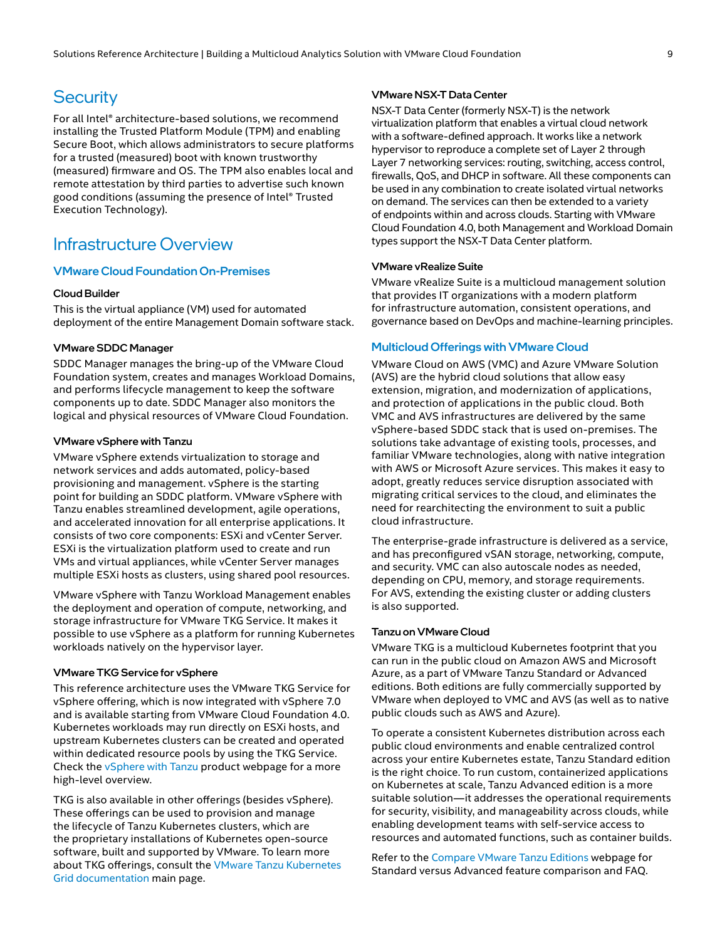## <span id="page-8-0"></span>**Security**

For all Intel® architecture-based solutions, we recommend installing the Trusted Platform Module (TPM) and enabling Secure Boot, which allows administrators to secure platforms for a trusted (measured) boot with known trustworthy (measured) firmware and OS. The TPM also enables local and remote attestation by third parties to advertise such known good conditions (assuming the presence of Intel® Trusted Execution Technology).

## Infrastructure Overview

#### VMware Cloud Foundation On-Premises

#### Cloud Builder

This is the virtual appliance (VM) used for automated deployment of the entire Management Domain software stack.

#### VMware SDDC Manager

SDDC Manager manages the bring-up of the VMware Cloud Foundation system, creates and manages Workload Domains, and performs lifecycle management to keep the software components up to date. SDDC Manager also monitors the logical and physical resources of VMware Cloud Foundation.

#### VMware vSphere with Tanzu

VMware vSphere extends virtualization to storage and network services and adds automated, policy-based provisioning and management. vSphere is the starting point for building an SDDC platform. VMware vSphere with Tanzu enables streamlined development, agile operations, and accelerated innovation for all enterprise applications. It consists of two core components: ESXi and vCenter Server. ESXi is the virtualization platform used to create and run VMs and virtual appliances, while vCenter Server manages multiple ESXi hosts as clusters, using shared pool resources.

VMware vSphere with Tanzu Workload Management enables the deployment and operation of compute, networking, and storage infrastructure for VMware TKG Service. It makes it possible to use vSphere as a platform for running Kubernetes workloads natively on the hypervisor layer.

#### VMware TKG Service for vSphere

This reference architecture uses the VMware TKG Service for vSphere offering, which is now integrated with vSphere 7.0 and is available starting from VMware Cloud Foundation 4.0. Kubernetes workloads may run directly on ESXi hosts, and upstream Kubernetes clusters can be created and operated within dedicated resource pools by using the TKG Service. Check the [vSphere with Tanzu](https://www.vmware.com/products/vsphere/vsphere-with-tanzu.html) product webpage for a more high-level overview.

TKG is also available in other offerings (besides vSphere). These offerings can be used to provision and manage the lifecycle of Tanzu Kubernetes clusters, which are the proprietary installations of Kubernetes open-source software, built and supported by VMware. To learn more about TKG offerings, consult the [VMware Tanzu Kubernetes](https://docs.vmware.com/en/VMware-Tanzu-Kubernetes-Grid/index.html)  [Grid documentation](https://docs.vmware.com/en/VMware-Tanzu-Kubernetes-Grid/index.html) main page.

#### VMware NSX-T Data Center

NSX-T Data Center (formerly NSX-T) is the network virtualization platform that enables a virtual cloud network with a software-defined approach. It works like a network hypervisor to reproduce a complete set of Layer 2 through Layer 7 networking services: routing, switching, access control, firewalls, QoS, and DHCP in software. All these components can be used in any combination to create isolated virtual networks on demand. The services can then be extended to a variety of endpoints within and across clouds. Starting with VMware Cloud Foundation 4.0, both Management and Workload Domain types support the NSX-T Data Center platform.

#### VMware vRealize Suite

VMware vRealize Suite is a multicloud management solution that provides IT organizations with a modern platform for infrastructure automation, consistent operations, and governance based on DevOps and machine-learning principles.

#### Multicloud Offerings with VMware Cloud

VMware Cloud on AWS (VMC) and Azure VMware Solution (AVS) are the hybrid cloud solutions that allow easy extension, migration, and modernization of applications, and protection of applications in the public cloud. Both VMC and AVS infrastructures are delivered by the same vSphere-based SDDC stack that is used on-premises. The solutions take advantage of existing tools, processes, and familiar VMware technologies, along with native integration with AWS or Microsoft Azure services. This makes it easy to adopt, greatly reduces service disruption associated with migrating critical services to the cloud, and eliminates the need for rearchitecting the environment to suit a public cloud infrastructure.

The enterprise-grade infrastructure is delivered as a service, and has preconfigured vSAN storage, networking, compute, and security. VMC can also autoscale nodes as needed, depending on CPU, memory, and storage requirements. For AVS, extending the existing cluster or adding clusters is also supported.

#### Tanzu on VMware Cloud

VMware TKG is a multicloud Kubernetes footprint that you can run in the public cloud on Amazon AWS and Microsoft Azure, as a part of VMware Tanzu Standard or Advanced editions. Both editions are fully commercially supported by VMware when deployed to VMC and AVS (as well as to native public clouds such as AWS and Azure).

To operate a consistent Kubernetes distribution across each public cloud environments and enable centralized control across your entire Kubernetes estate, Tanzu Standard edition is the right choice. To run custom, containerized applications on Kubernetes at scale, Tanzu Advanced edition is a more suitable solution—it addresses the operational requirements for security, visibility, and manageability across clouds, while enabling development teams with self-service access to resources and automated functions, such as container builds.

Refer to the [Compare VMware Tanzu Editions](https://tanzu.vmware.com/tanzu/compare) webpage for Standard versus Advanced feature comparison and FAQ.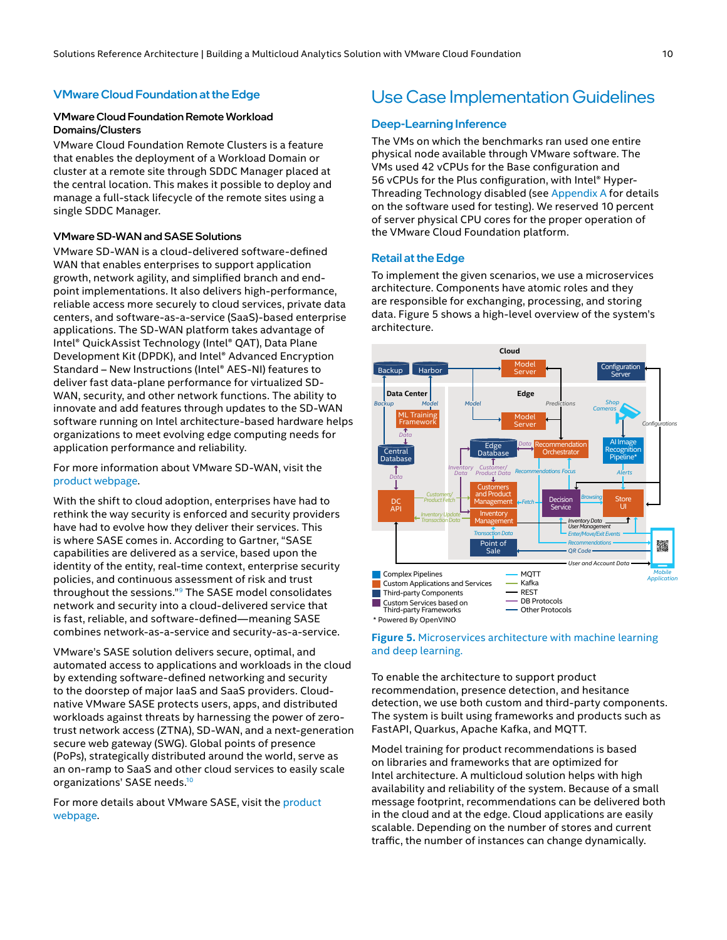## Use Case Implementation Guidelines

## VMware Cloud Foundation Remote Workload

VMware Cloud Foundation Remote Clusters is a feature that enables the deployment of a Workload Domain or cluster at a remote site through SDDC Manager placed at the central location. This makes it possible to deploy and manage a full-stack lifecycle of the remote sites using a single SDDC Manager.

#### VMware SD-WAN and SASE Solutions

<span id="page-9-0"></span>VMware Cloud Foundation at the Edge

Domains/Clusters

VMware SD-WAN is a cloud-delivered software-defined WAN that enables enterprises to support application growth, network agility, and simplified branch and endpoint implementations. It also delivers high-performance, reliable access more securely to cloud services, private data centers, and software-as-a-service (SaaS)-based enterprise applications. The SD-WAN platform takes advantage of Intel® QuickAssist Technology (Intel® QAT), Data Plane Development Kit (DPDK), and Intel® Advanced Encryption Standard – New Instructions (Intel® AES-NI) features to deliver fast data-plane performance for virtualized SD-WAN, security, and other network functions. The ability to innovate and add features through updates to the SD-WAN software running on Intel architecture-based hardware helps organizations to meet evolving edge computing needs for application performance and reliability.

For more information about VMware SD-WAN, visit the [product webpage](https://sase.vmware.com/sd-wan).

With the shift to cloud adoption, enterprises have had to rethink the way security is enforced and security providers have had to evolve how they deliver their services. This is where SASE comes in. According to Gartner, "SASE capabilities are delivered as a service, based upon the identity of the entity, real-time context, enterprise security policies, and continuous assessment of risk and trust throughout the sessions."[9](#page-22-8) The SASE model consolidates network and security into a cloud-delivered service that is fast, reliable, and software-defined—meaning SASE combines network-as-a-service and security-as-a-service.

VMware's SASE solution delivers secure, optimal, and automated access to applications and workloads in the cloud by extending software-defined networking and security to the doorstep of major IaaS and SaaS providers. Cloudnative VMware SASE protects users, apps, and distributed workloads against threats by harnessing the power of zerotrust network access (ZTNA), SD-WAN, and a next-generation secure web gateway (SWG). Global points of presence (PoPs), strategically distributed around the world, serve as an on-ramp to SaaS and other cloud services to easily scale organizations' SASE needs.<sup>10</sup>

For more details about VMware SASE, visit the product [webpage.](https://sase.vmware.com/sase)

#### Deep-Learning Inference

The VMs on which the benchmarks ran used one entire physical node available through VMware software. The VMs used 42 vCPUs for the Base configuration and 56 vCPUs for the Plus configuration, with Intel® Hyper-Threading Technology disabled (see [Appendix A](#page-21-1) for details on the software used for testing). We reserved 10 percent of server physical CPU cores for the proper operation of the VMware Cloud Foundation platform.

#### Retail at the Edge

To implement the given scenarios, we use a microservices architecture. Components have atomic roles and they are responsible for exchanging, processing, and storing data. Figure 5 shows a high-level overview of the system's architecture.



#### **Figure 5.** Microservices architecture with machine learning and deep learning.

To enable the architecture to support product recommendation, presence detection, and hesitance detection, we use both custom and third-party components. The system is built using frameworks and products such as FastAPI, Quarkus, Apache Kafka, and MQTT.

Model training for product recommendations is based on libraries and frameworks that are optimized for Intel architecture. A multicloud solution helps with high availability and reliability of the system. Because of a small message footprint, recommendations can be delivered both in the cloud and at the edge. Cloud applications are easily scalable. Depending on the number of stores and current traffic, the number of instances can change dynamically.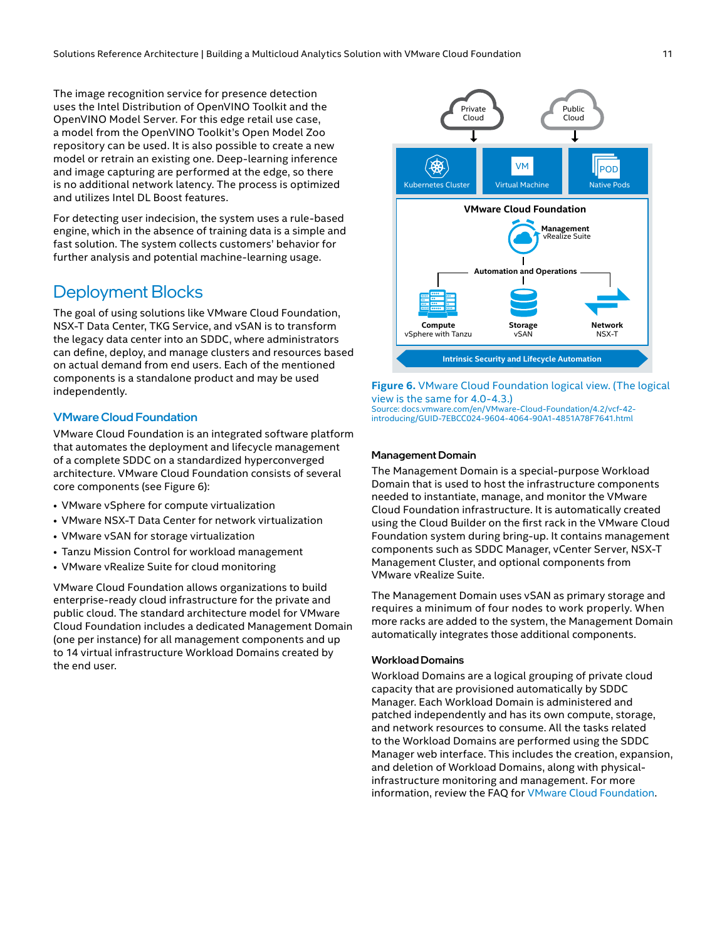<span id="page-10-0"></span>The image recognition service for presence detection uses the Intel Distribution of OpenVINO Toolkit and the OpenVINO Model Server. For this edge retail use case, a model from the OpenVINO Toolkit's Open Model Zoo repository can be used. It is also possible to create a new model or retrain an existing one. Deep-learning inference and image capturing are performed at the edge, so there is no additional network latency. The process is optimized and utilizes Intel DL Boost features.

For detecting user indecision, the system uses a rule-based engine, which in the absence of training data is a simple and fast solution. The system collects customers' behavior for further analysis and potential machine-learning usage.

## Deployment Blocks

The goal of using solutions like VMware Cloud Foundation, NSX-T Data Center, TKG Service, and vSAN is to transform the legacy data center into an SDDC, where administrators can define, deploy, and manage clusters and resources based on actual demand from end users. Each of the mentioned components is a standalone product and may be used independently.

#### VMware Cloud Foundation

VMware Cloud Foundation is an integrated software platform that automates the deployment and lifecycle management of a complete SDDC on a standardized hyperconverged architecture. VMware Cloud Foundation consists of several core components (see Figure 6):

- VMware vSphere for compute virtualization
- VMware NSX-T Data Center for network virtualization
- VMware vSAN for storage virtualization
- Tanzu Mission Control for workload management
- VMware vRealize Suite for cloud monitoring

VMware Cloud Foundation allows organizations to build enterprise-ready cloud infrastructure for the private and public cloud. The standard architecture model for VMware Cloud Foundation includes a dedicated Management Domain (one per instance) for all management components and up to 14 virtual infrastructure Workload Domains created by the end user.



**Figure 6.** VMware Cloud Foundation logical view. (The logical view is the same for 4.0-4.3.) Source: [docs.vmware.com/en/VMware-Cloud-Foundation/4.2/vcf-42](https://docs.vmware.com/en/VMware-Cloud-Foundation/4.2/vcf-42-introducing/GUID-7EBCC024-9604-4064-90A1-4851A78F7641.html) [introducing/GUID-7EBCC024-9604-4064-90A1-4851A78F7641.html](https://docs.vmware.com/en/VMware-Cloud-Foundation/4.2/vcf-42-introducing/GUID-7EBCC024-9604-4064-90A1-4851A78F7641.html)

#### Management Domain

The Management Domain is a special-purpose Workload Domain that is used to host the infrastructure components needed to instantiate, manage, and monitor the VMware Cloud Foundation infrastructure. It is automatically created using the Cloud Builder on the first rack in the VMware Cloud Foundation system during bring-up. It contains management components such as SDDC Manager, vCenter Server, NSX-T Management Cluster, and optional components from VMware vRealize Suite.

The Management Domain uses vSAN as primary storage and requires a minimum of four nodes to work properly. When more racks are added to the system, the Management Domain automatically integrates those additional components.

#### Workload Domains

Workload Domains are a logical grouping of private cloud capacity that are provisioned automatically by SDDC Manager. Each Workload Domain is administered and patched independently and has its own compute, storage, and network resources to consume. All the tasks related to the Workload Domains are performed using the SDDC Manager web interface. This includes the creation, expansion, and deletion of Workload Domains, along with physicalinfrastructure monitoring and management. For more information, review the FAQ for [VMware Cloud Foundation](https://www.vmware.com/content/dam/digitalmarketing/vmware/en/pdf/datasheet/products/vmware-cloud-foundation-faq.pdf).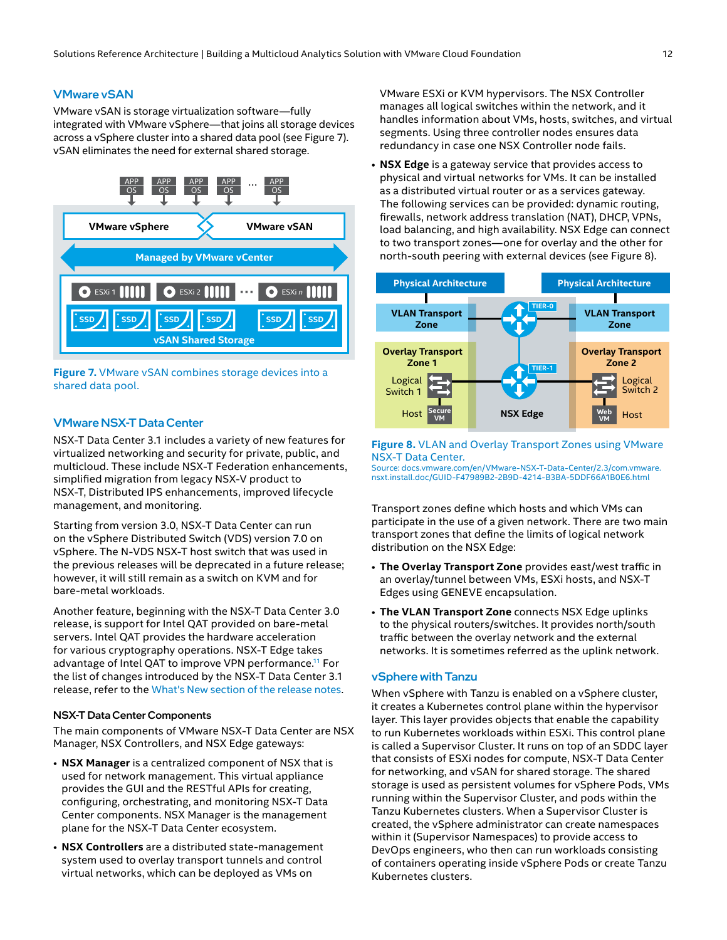#### VMware vSAN

VMware vSAN is storage virtualization software—fully integrated with VMware vSphere—that joins all storage devices across a vSphere cluster into a shared data pool (see Figure 7). vSAN eliminates the need for external shared storage.



**Figure 7.** VMware vSAN combines storage devices into a shared data pool.

#### VMware NSX-T Data Center

NSX-T Data Center 3.1 includes a variety of new features for virtualized networking and security for private, public, and multicloud. These include NSX-T Federation enhancements, simplified migration from legacy NSX-V product to NSX-T, Distributed IPS enhancements, improved lifecycle management, and monitoring.

Starting from version 3.0, NSX-T Data Center can run on the vSphere Distributed Switch (VDS) version 7.0 on vSphere. The N-VDS NSX-T host switch that was used in the previous releases will be deprecated in a future release; however, it will still remain as a switch on KVM and for bare-metal workloads.

Another feature, beginning with the NSX-T Data Center 3.0 release, is support for Intel QAT provided on bare-metal servers. Intel QAT provides the hardware acceleration for various cryptography operations. NSX-T Edge takes advantage of Intel QAT to improve VPN performance.<sup>[11](#page-22-10)</sup> For the list of changes introduced by the NSX-T Data Center 3.1 release, refer to the [What's New section of the release notes.](https://docs.vmware.com/en/VMware-NSX-T-Data-Center/3.1/rn/VMware-NSX-T-Data-Center-31-Release-Notes.html)

#### NSX-T Data Center Components

The main components of VMware NSX-T Data Center are NSX Manager, NSX Controllers, and NSX Edge gateways:

- **NSX Manager** is a centralized component of NSX that is used for network management. This virtual appliance provides the GUI and the RESTful APIs for creating, configuring, orchestrating, and monitoring NSX-T Data Center components. NSX Manager is the management plane for the NSX-T Data Center ecosystem.
- **NSX Controllers** are a distributed state-management system used to overlay transport tunnels and control virtual networks, which can be deployed as VMs on

VMware ESXi or KVM hypervisors. The NSX Controller manages all logical switches within the network, and it handles information about VMs, hosts, switches, and virtual segments. Using three controller nodes ensures data redundancy in case one NSX Controller node fails.

• **NSX Edge** is a gateway service that provides access to physical and virtual networks for VMs. It can be installed as a distributed virtual router or as a services gateway. The following services can be provided: dynamic routing, firewalls, network address translation (NAT), DHCP, VPNs, load balancing, and high availability. NSX Edge can connect to two transport zones—one for overlay and the other for north-south peering with external devices (see Figure 8).



#### **Figure 8.** VLAN and Overlay Transport Zones using VMware NSX-T Data Center.

Source: [docs.vmware.com/en/VMware-NSX-T-Data-Center/2.3/com.vmware.](https://docs.vmware.com/en/VMware-NSX-T-Data-Center/2.3/com.vmware.nsxt.install.doc/GUID-F47989B2-2B9D-4214-B3BA-5DDF66A1B0E6.html) [nsxt.install.doc/GUID-F47989B2-2B9D-4214-B3BA-5DDF66A1B0E6.html](https://docs.vmware.com/en/VMware-NSX-T-Data-Center/2.3/com.vmware.nsxt.install.doc/GUID-F47989B2-2B9D-4214-B3BA-5DDF66A1B0E6.html)

Transport zones define which hosts and which VMs can participate in the use of a given network. There are two main transport zones that define the limits of logical network distribution on the NSX Edge:

- **The Overlay Transport Zone** provides east/west traffic in an overlay/tunnel between VMs, ESXi hosts, and NSX-T Edges using GENEVE encapsulation.
- **The VLAN Transport Zone** connects NSX Edge uplinks to the physical routers/switches. It provides north/south traffic between the overlay network and the external networks. It is sometimes referred as the uplink network.

#### vSphere with Tanzu

When vSphere with Tanzu is enabled on a vSphere cluster, it creates a Kubernetes control plane within the hypervisor layer. This layer provides objects that enable the capability to run Kubernetes workloads within ESXi. This control plane is called a Supervisor Cluster. It runs on top of an SDDC layer that consists of ESXi nodes for compute, NSX-T Data Center for networking, and vSAN for shared storage. The shared storage is used as persistent volumes for vSphere Pods, VMs running within the Supervisor Cluster, and pods within the Tanzu Kubernetes clusters. When a Supervisor Cluster is created, the vSphere administrator can create namespaces within it (Supervisor Namespaces) to provide access to DevOps engineers, who then can run workloads consisting of containers operating inside vSphere Pods or create Tanzu Kubernetes clusters.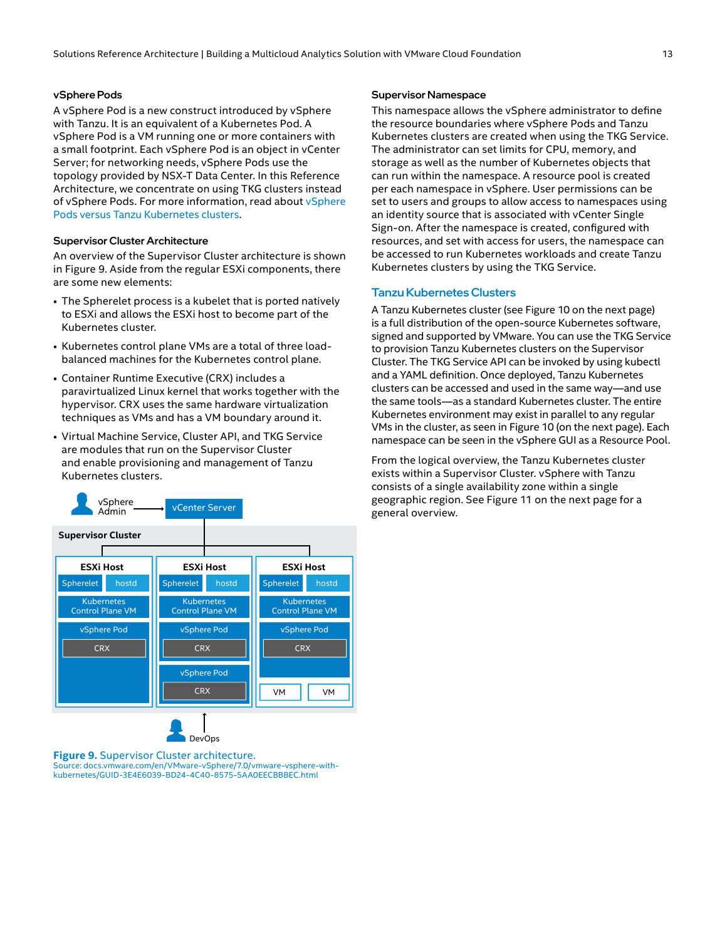#### vSphere Pods

A vSphere Pod is a new construct introduced by vSphere with Tanzu. It is an equivalent of a Kubernetes Pod. A vSphere Pod is a VM running one or more containers with a small footprint. Each vSphere Pod is an object in vCenter Server; for networking needs, vSphere Pods use the topology provided by NSX-T Data Center. In this Reference Architecture, we concentrate on using TKG clusters instead of [vSphere](https://docs.vmware.com/en/VMware-vSphere/7.0/vmware-vsphere-with-tanzu/GUID-04D08757-D761-4AFC-8F9A-7AAC9964DC69.html) Pods. For more information, read about vSphere [Pods versus Tanzu Kubernetes clusters.](https://docs.vmware.com/en/VMware-vSphere/7.0/vmware-vsphere-with-tanzu/GUID-04D08757-D761-4AFC-8F9A-7AAC9964DC69.html)

#### Supervisor Cluster Architecture

An overview of the Supervisor Cluster architecture is shown in Figure 9. Aside from the regular ESXi components, there are some new elements:

- The Spherelet process is a kubelet that is ported natively to ESXi and allows the ESXi host to become part of the Kubernetes cluster.
- Kubernetes control plane VMs are a total of three loadbalanced machines for the Kubernetes control plane.
- Container Runtime Executive (CRX) includes a paravirtualized Linux kernel that works together with the hypervisor. CRX uses the same hardware virtualization techniques as VMs and has a VM boundary around it.
- Virtual Machine Service, Cluster API, and TKG Service are modules that run on the Supervisor Cluster and enable provisioning and management of Tanzu Kubernetes clusters.



**Figure 9.** Supervisor Cluster architecture. Source: [docs.vmware.com/en/VMware-vSphere/7.0/vmware-vsphere-with](https://docs.vmware.com/en/VMware-vSphere/7.0/vmware-vsphere-with-tanzu/GUID-3E4E6039-BD24-4C40-8575-5AA0EECBBBEC.html)[kubernetes/GUID-3E4E6039-BD24-4C40-8575-5AA0EECBBBEC.html](https://docs.vmware.com/en/VMware-vSphere/7.0/vmware-vsphere-with-tanzu/GUID-3E4E6039-BD24-4C40-8575-5AA0EECBBBEC.html)

#### Supervisor Namespace

This namespace allows the vSphere administrator to define the resource boundaries where vSphere Pods and Tanzu Kubernetes clusters are created when using the TKG Service. The administrator can set limits for CPU, memory, and storage as well as the number of Kubernetes objects that can run within the namespace. A resource pool is created per each namespace in vSphere. User permissions can be set to users and groups to allow access to namespaces using an identity source that is associated with vCenter Single Sign-on. After the namespace is created, configured with resources, and set with access for users, the namespace can be accessed to run Kubernetes workloads and create Tanzu Kubernetes clusters by using the TKG Service.

#### Tanzu Kubernetes Clusters

A Tanzu Kubernetes cluster (see Figure 10 on the next page) is a full distribution of the open-source Kubernetes software, signed and supported by VMware. You can use the TKG Service to provision Tanzu Kubernetes clusters on the Supervisor Cluster. The TKG Service API can be invoked by using kubectl and a YAML definition. Once deployed, Tanzu Kubernetes clusters can be accessed and used in the same way—and use the same tools—as a standard Kubernetes cluster. The entire Kubernetes environment may exist in parallel to any regular VMs in the cluster, as seen in Figure 10 (on the next page). Each namespace can be seen in the vSphere GUI as a Resource Pool.

From the logical overview, the Tanzu Kubernetes cluster exists within a Supervisor Cluster. vSphere with Tanzu consists of a single availability zone within a single geographic region. See Figure 11 on the next page for a general overview.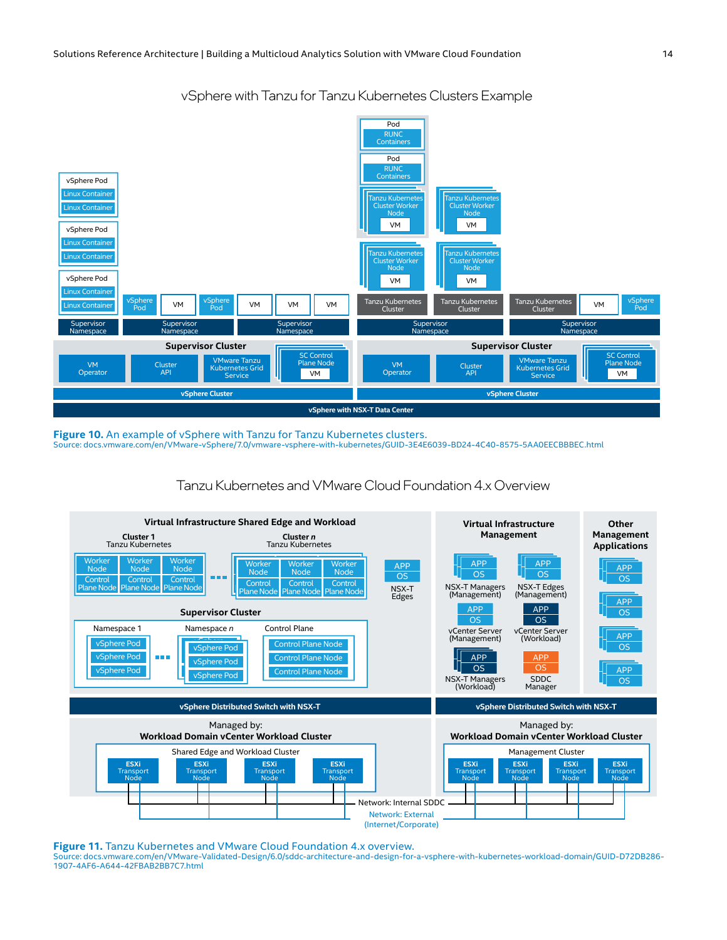

vSphere with Tanzu for Tanzu Kubernetes Clusters Example

**Figure 10.** An example of vSphere with Tanzu for Tanzu Kubernetes clusters. Source: [docs.vmware.com/en/VMware-vSphere/7.0/vmware-vsphere-with-kubernetes/GUID-3E4E6039-BD24-4C40-8575-5AA0EECBBBEC.html](https://docs.vmware.com/en/VMware-vSphere/7.0/vmware-vsphere-with-tanzu/GUID-3E4E6039-BD24-4C40-8575-5AA0EECBBBEC.html)

### Tanzu Kubernetes and VMware Cloud Foundation 4.x Overview



**Figure 11.** Tanzu Kubernetes and VMware Cloud Foundation 4.x overview. Source: [docs.vmware.com/en/VMware-Validated-Design/6.0/sddc-architecture-and-design-for-a-vsphere-with-kubernetes-workload-domain/GUID-D72DB286-](https://docs.vmware.com/en/VMware-Validated-Design/6.0/sddc-architecture-and-design-for-a-vsphere-with-kubernetes-workload-domain/GUID-D72DB286-1907-4AF6-A644-42FBAB2BB7C7.html) [1907-4AF6-A644-42FBAB2BB7C7.html](https://docs.vmware.com/en/VMware-Validated-Design/6.0/sddc-architecture-and-design-for-a-vsphere-with-kubernetes-workload-domain/GUID-D72DB286-1907-4AF6-A644-42FBAB2BB7C7.html)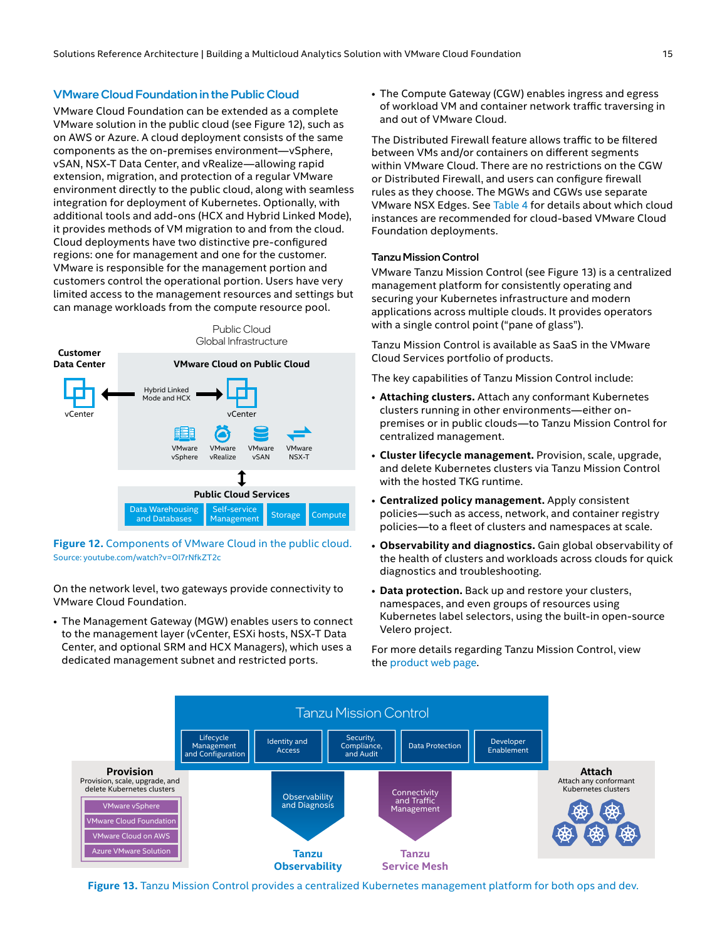#### VMware Cloud Foundation in the Public Cloud

VMware Cloud Foundation can be extended as a complete VMware solution in the public cloud (see Figure 12), such as on AWS or Azure. A cloud deployment consists of the same components as the on-premises environment—vSphere, vSAN, NSX-T Data Center, and vRealize—allowing rapid extension, migration, and protection of a regular VMware environment directly to the public cloud, along with seamless integration for deployment of Kubernetes. Optionally, with additional tools and add-ons (HCX and Hybrid Linked Mode), it provides methods of VM migration to and from the cloud. Cloud deployments have two distinctive pre-configured regions: one for management and one for the customer. VMware is responsible for the management portion and customers control the operational portion. Users have very limited access to the management resources and settings but can manage workloads from the compute resource pool.



**Figure 12.** Components of VMware Cloud in the public cloud. Source: [youtube.com/watch?v=Ol7rNfkZT2c](https://www.youtube.com/watch?v=Ol7rNfkZT2c)

On the network level, two gateways provide connectivity to VMware Cloud Foundation.

• The Management Gateway (MGW) enables users to connect to the management layer (vCenter, ESXi hosts, NSX-T Data Center, and optional SRM and HCX Managers), which uses a dedicated management subnet and restricted ports.

• The Compute Gateway (CGW) enables ingress and egress of workload VM and container network traffic traversing in and out of VMware Cloud.

The Distributed Firewall feature allows traffic to be filtered between VMs and/or containers on different segments within VMware Cloud. There are no restrictions on the CGW or Distributed Firewall, and users can configure firewall rules as they choose. The MGWs and CGWs use separate VMware NSX Edges. See [Table 4](#page-7-0) for details about which cloud instances are recommended for cloud-based VMware Cloud Foundation deployments.

#### Tanzu Mission Control

VMware Tanzu Mission Control (see Figure 13) is a centralized management platform for consistently operating and securing your Kubernetes infrastructure and modern applications across multiple clouds. It provides operators with a single control point ("pane of glass").

Tanzu Mission Control is available as SaaS in the VMware Cloud Services portfolio of products.

The key capabilities of Tanzu Mission Control include:

- **Attaching clusters.** Attach any conformant Kubernetes clusters running in other environments—either onpremises or in public clouds—to Tanzu Mission Control for centralized management.
- **Cluster lifecycle management.** Provision, scale, upgrade, and delete Kubernetes clusters via Tanzu Mission Control with the hosted TKG runtime.
- **Centralized policy management.** Apply consistent policies—such as access, network, and container registry policies—to a fleet of clusters and namespaces at scale.
- **Observability and diagnostics.** Gain global observability of the health of clusters and workloads across clouds for quick diagnostics and troubleshooting.
- **Data protection.** Back up and restore your clusters, namespaces, and even groups of resources using Kubernetes label selectors, using the built-in open-source Velero project.

For more details regarding Tanzu Mission Control, view the [product web page.](https://tanzu.vmware.com/mission-control)



**Figure 13.** Tanzu Mission Control provides a centralized Kubernetes management platform for both ops and dev.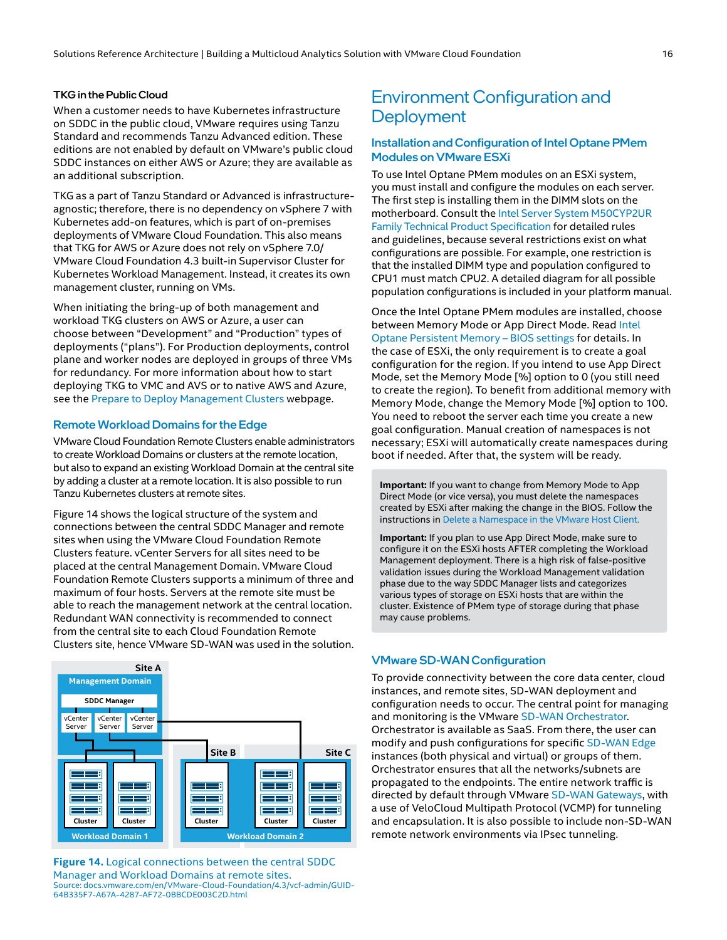#### <span id="page-15-0"></span>TKG in the Public Cloud

When a customer needs to have Kubernetes infrastructure on SDDC in the public cloud, VMware requires using Tanzu Standard and recommends Tanzu Advanced edition. These editions are not enabled by default on VMware's public cloud SDDC instances on either AWS or Azure; they are available as an additional subscription.

TKG as a part of Tanzu Standard or Advanced is infrastructureagnostic; therefore, there is no dependency on vSphere 7 with Kubernetes add-on features, which is part of on-premises deployments of VMware Cloud Foundation. This also means that TKG for AWS or Azure does not rely on vSphere 7.0/ VMware Cloud Foundation 4.3 built-in Supervisor Cluster for Kubernetes Workload Management. Instead, it creates its own management cluster, running on VMs.

When initiating the bring-up of both management and workload TKG clusters on AWS or Azure, a user can choose between "Development" and "Production" types of deployments ("plans"). For Production deployments, control plane and worker nodes are deployed in groups of three VMs for redundancy. For more information about how to start deploying TKG to VMC and AVS or to native AWS and Azure, see the [Prepare to Deploy Management Clusters](https://docs.vmware.com/en/VMware-Tanzu-Kubernetes-Grid/1.4/vmware-tanzu-kubernetes-grid-14/GUID-mgmt-clusters-prepare-deployment.html) webpage.

#### Remote Workload Domains for the Edge

VMware Cloud Foundation Remote Clusters enable administrators to create Workload Domains or clusters at the remote location, but also to expand an existing Workload Domain at the central site by adding a cluster at a remote location. It is also possible to run Tanzu Kubernetes clusters at remote sites.

Figure 14 shows the logical structure of the system and connections between the central SDDC Manager and remote sites when using the VMware Cloud Foundation Remote Clusters feature. vCenter Servers for all sites need to be placed at the central Management Domain. VMware Cloud Foundation Remote Clusters supports a minimum of three and maximum of four hosts. Servers at the remote site must be able to reach the management network at the central location. Redundant WAN connectivity is recommended to connect from the central site to each Cloud Foundation Remote Clusters site, hence VMware SD-WAN was used in the solution.



**Figure 14.** Logical connections between the central SDDC Manager and Workload Domains at remote sites. Source: [docs.vmware.com/en/VMware-Cloud-Foundation/4.3/vcf-admin/GUID-](https://docs.vmware.com/en/VMware-Cloud-Foundation/4.3/vcf-admin/GUID-64B335F7-A67A-4287-AF72-0BBCDE003C2D.html)[64B335F7-A67A-4287-AF72-0BBCDE003C2D.html](https://docs.vmware.com/en/VMware-Cloud-Foundation/4.3/vcf-admin/GUID-64B335F7-A67A-4287-AF72-0BBCDE003C2D.html)

## Environment Configuration and **Deployment**

#### Installation and Configuration of Intel Optane PMem Modules on VMware ESXi

To use Intel Optane PMem modules on an ESXi system, you must install and configure the modules on each server. The first step is installing them in the DIMM slots on the motherboard. Consult the [Intel Server System M50CYP2UR](https://www.intel.com/content/www/us/en/products/details/servers/server-systems/server-system-m50cyp/docs.html?s=Newest)  [Family Technical Product Specification](https://www.intel.com/content/www/us/en/products/details/servers/server-systems/server-system-m50cyp/docs.html?s=Newest) for detailed rules and guidelines, because several restrictions exist on what configurations are possible. For example, one restriction is that the installed DIMM type and population configured to CPU1 must match CPU2. A detailed diagram for all possible population configurations is included in your platform manual.

Once the Intel Optane PMem modules are installed, choose between Memory Mode or App Direct Mode. Read [Intel](https://www.intel.com/content/dam/support/us/en/documents/memory-and-storage/data-center-persistent-mem/Intel-Optane-DC-Persistent-Memory-BIOS-settings.pdf)  [Optane Persistent Memory – BIOS settings](https://www.intel.com/content/dam/support/us/en/documents/memory-and-storage/data-center-persistent-mem/Intel-Optane-DC-Persistent-Memory-BIOS-settings.pdf) for details. In the case of ESXi, the only requirement is to create a goal configuration for the region. If you intend to use App Direct Mode, set the Memory Mode [%] option to 0 (you still need to create the region). To benefit from additional memory with Memory Mode, change the Memory Mode [%] option to 100. You need to reboot the server each time you create a new goal configuration. Manual creation of namespaces is not necessary; ESXi will automatically create namespaces during boot if needed. After that, the system will be ready.

**Important:** If you want to change from Memory Mode to App Direct Mode (or vice versa), you must delete the namespaces created by ESXi after making the change in the BIOS. Follow the instructions in [Delete a Namespace in the VMware Host Client.](https://docs.vmware.com/en/VMware-vSphere/7.0/com.vmware.vsphere.hostclient.doc/GUID-BB8889CB-62C6-4344-ACE6-DDFFC3BFDBC5.html)

**viewalle Cloud** validation issues during the Workload Management validation **Important:** If you plan to use App Direct Mode, make sure to configure it on the ESXi hosts AFTER completing the Workload Management deployment. There is a high risk of false-positive phase due to the way SDDC Manager lists and categorizes various types of storage on ESXi hosts that are within the cluster. Existence of PMem type of storage during that phase may cause problems.

#### VMware SD-WAN Configuration

To provide connectivity between the core data center, cloud instances, and remote sites, SD-WAN deployment and configuration needs to occur. The central point for managing and monitoring is the VMware [SD-WAN Orchestrator](https://sase.vmware.com/products/component-orchestrator). Orchestrator is available as SaaS. From there, the user can modify and push configurations for specific [SD-WAN Edge](https://sase.vmware.com/products/component-network-edge) instances (both physical and virtual) or groups of them. Orchestrator ensures that all the networks/subnets are propagated to the endpoints. The entire network traffic is directed by default through VMware [SD-WAN Gateways](https://sase.vmware.com/products/component-gateways), with a use of VeloCloud Multipath Protocol (VCMP) for tunneling and encapsulation. It is also possible to include non-SD-WAN remote network environments via IPsec tunneling.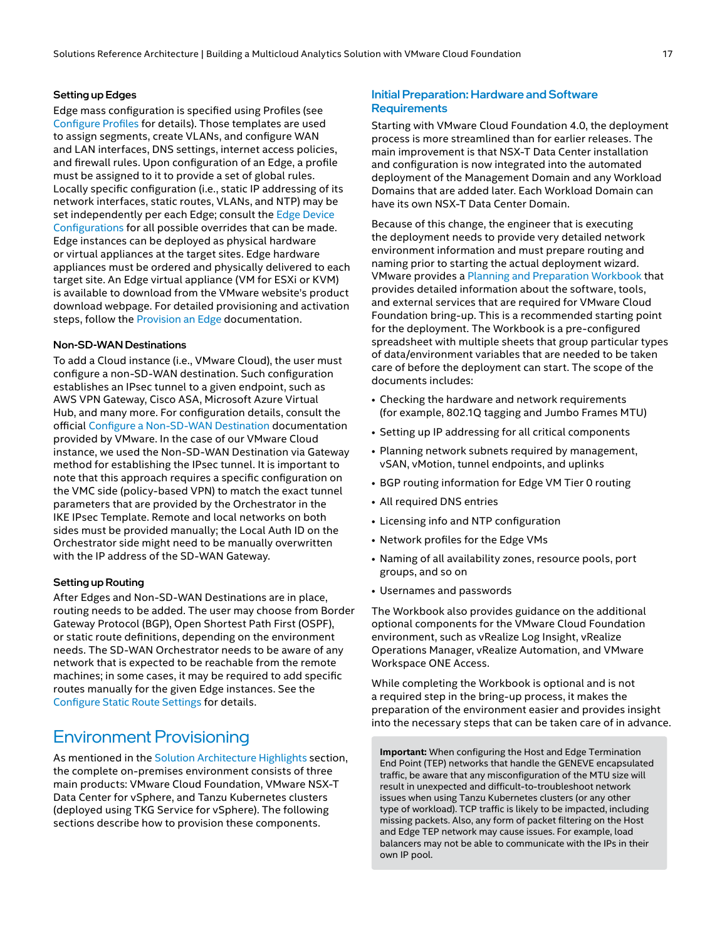#### <span id="page-16-0"></span>Setting up Edges

Edge mass configuration is specified using Profiles (see [Configure Profiles](https://docs.vmware.com/en/VMware-SD-WAN/4.3/VMware-SD-WAN-Administration-Guide/GUID-D174B662-089C-4EC9-A389-682363C40ADF.html) for details). Those templates are used to assign segments, create VLANs, and configure WAN and LAN interfaces, DNS settings, internet access policies, and firewall rules. Upon configuration of an Edge, a profile must be assigned to it to provide a set of global rules. Locally specific configuration (i.e., static IP addressing of its network interfaces, static routes, VLANs, and NTP) may be set independently per each Edge; consult the Edge Device [Configurations](https://docs.vmware.com/en/VMware-SD-WAN/4.3/VMware-SD-WAN-Administration-Guide/GUID-DD2294A2-2632-4EB8-8FF8-5D9D4298E336.html) for all possible overrides that can be made. Edge instances can be deployed as physical hardware or virtual appliances at the target sites. Edge hardware appliances must be ordered and physically delivered to each target site. An Edge virtual appliance (VM for ESXi or KVM) is available to download from the VMware website's product download webpage. For detailed provisioning and activation steps, follow the [Provision an Edge](https://docs.vmware.com/en/VMware-SD-WAN/4.3/VMware-SD-WAN-Administration-Guide/GUID-36395836-FD50-43DE-94F7-250480BD7FAD.html) documentation.

#### <span id="page-16-1"></span>Non-SD-WAN Destinations

To add a Cloud instance (i.e., VMware Cloud), the user must configure a non-SD-WAN destination. Such configuration establishes an IPsec tunnel to a given endpoint, such as AWS VPN Gateway, Cisco ASA, Microsoft Azure Virtual Hub, and many more. For configuration details, consult the official [Configure a Non-SD-WAN Destination](https://docs.vmware.com/en/VMware-SD-WAN/4.3/VMware-SD-WAN-Administration-Guide/GUID-FB6B85FF-B933-4EB6-8AB4-087680930F82.html) documentation provided by VMware. In the case of our VMware Cloud instance, we used the Non-SD-WAN Destination via Gateway method for establishing the IPsec tunnel. It is important to note that this approach requires a specific configuration on the VMC side (policy-based VPN) to match the exact tunnel parameters that are provided by the Orchestrator in the IKE IPsec Template. Remote and local networks on both sides must be provided manually; the Local Auth ID on the Orchestrator side might need to be manually overwritten with the IP address of the SD-WAN Gateway.

#### Setting up Routing

After Edges and Non-SD-WAN Destinations are in place, routing needs to be added. The user may choose from Border Gateway Protocol (BGP), Open Shortest Path First (OSPF), or static route definitions, depending on the environment needs. The SD-WAN Orchestrator needs to be aware of any network that is expected to be reachable from the remote machines; in some cases, it may be required to add specific routes manually for the given Edge instances. See the [Configure Static Route Settings](https://docs.vmware.com/en/VMware-SD-WAN/4.3/VMware-SD-WAN-Administration-Guide/GUID-839747B6-43D2-4AAB-A581-5F8B8693BEFF.html) for details.

## Environment Provisioning

As mentioned in the [Solution Architecture Highlights](#page-1-0) section, the complete on-premises environment consists of three main products: VMware Cloud Foundation, VMware NSX-T Data Center for vSphere, and Tanzu Kubernetes clusters (deployed using TKG Service for vSphere). The following sections describe how to provision these components.

#### Initial Preparation: Hardware and Software **Requirements**

Starting with VMware Cloud Foundation 4.0, the deployment process is more streamlined than for earlier releases. The main improvement is that NSX-T Data Center installation and configuration is now integrated into the automated deployment of the Management Domain and any Workload Domains that are added later. Each Workload Domain can have its own NSX-T Data Center Domain.

Because of this change, the engineer that is executing the deployment needs to provide very detailed network environment information and must prepare routing and naming prior to starting the actual deployment wizard. VMware provides a [Planning and Preparation Workbook](https://docs.vmware.com/en/VMware-SD-WAN/4.3/VMware-SD-WAN-Administration-Guide/GUID-839747B6-43D2-4AAB-A581-5F8B8693BEFF.html) that provides detailed information about the software, tools, and external services that are required for VMware Cloud Foundation bring-up. This is a recommended starting point for the deployment. The Workbook is a pre-configured spreadsheet with multiple sheets that group particular types of data/environment variables that are needed to be taken care of before the deployment can start. The scope of the documents includes:

- Checking the hardware and network requirements (for example, 802.1Q tagging and Jumbo Frames MTU)
- Setting up IP addressing for all critical components
- Planning network subnets required by management, vSAN, vMotion, tunnel endpoints, and uplinks
- BGP routing information for Edge VM Tier 0 routing
- All required DNS entries
- Licensing info and NTP configuration
- Network profiles for the Edge VMs
- Naming of all availability zones, resource pools, port groups, and so on
- Usernames and passwords

The Workbook also provides guidance on the additional optional components for the VMware Cloud Foundation environment, such as vRealize Log Insight, vRealize Operations Manager, vRealize Automation, and VMware Workspace ONE Access.

While completing the Workbook is optional and is not a required step in the bring-up process, it makes the preparation of the environment easier and provides insight into the necessary steps that can be taken care of in advance.

**Important:** When configuring the Host and Edge Termination End Point (TEP) networks that handle the GENEVE encapsulated traffic, be aware that any misconfiguration of the MTU size will result in unexpected and difficult-to-troubleshoot network issues when using Tanzu Kubernetes clusters (or any other type of workload). TCP traffic is likely to be impacted, including missing packets. Also, any form of packet filtering on the Host and Edge TEP network may cause issues. For example, load balancers may not be able to communicate with the IPs in their own IP pool.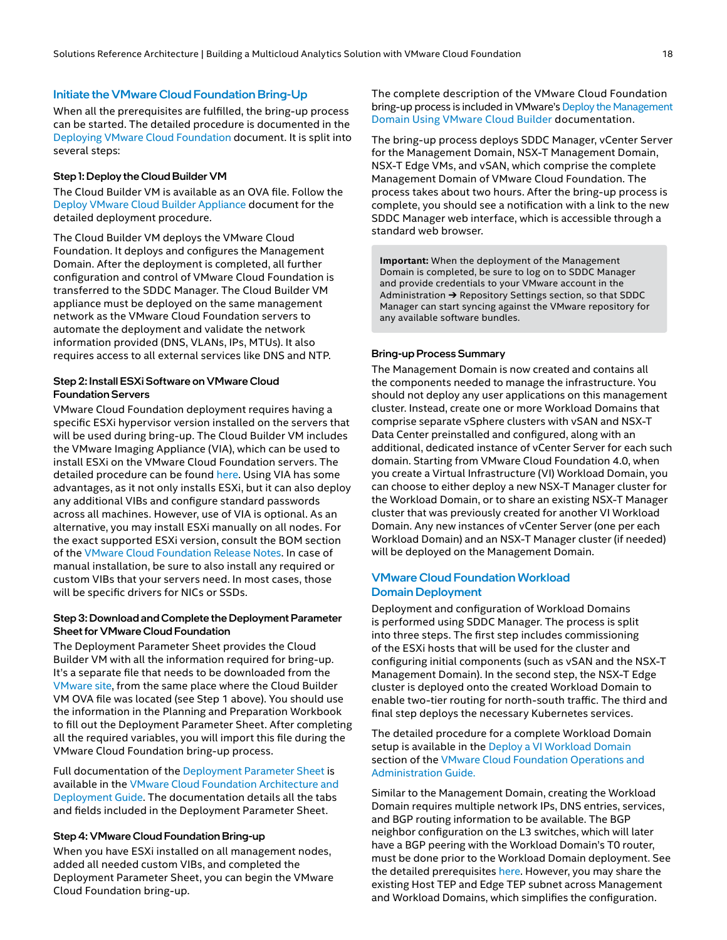#### Initiate the VMware Cloud Foundation Bring-Up

When all the prerequisites are fulfilled, the bring-up process can be started. The detailed procedure is documented in the [Deploying VMware Cloud Foundation](https://docs.vmware.com/en/VMware-Cloud-Foundation/4.3/vcf-deploy/GUID-CB40D2E9-0714-4152-98D6-F9A5ACC074C7.html) document. It is split into several steps:

#### Step 1: Deploy the Cloud Builder VM

The Cloud Builder VM is available as an OVA file. Follow the [Deploy VMware Cloud Builder Appliance](https://docs.vmware.com/en/VMware-Cloud-Foundation/4.3/vcf-deploy/GUID-78EEF782-CF21-4228-97E0-37B8D2165B81.html) document for the detailed deployment procedure.

The Cloud Builder VM deploys the VMware Cloud Foundation. It deploys and configures the Management Domain. After the deployment is completed, all further configuration and control of VMware Cloud Foundation is transferred to the SDDC Manager. The Cloud Builder VM appliance must be deployed on the same management network as the VMware Cloud Foundation servers to automate the deployment and validate the network information provided (DNS, VLANs, IPs, MTUs). It also requires access to all external services like DNS and NTP.

#### Step 2: Install ESXi Software on VMware Cloud Foundation Servers

VMware Cloud Foundation deployment requires having a specific ESXi hypervisor version installed on the servers that will be used during bring-up. The Cloud Builder VM includes the VMware Imaging Appliance (VIA), which can be used to install ESXi on the VMware Cloud Foundation servers. The detailed procedure can be found [here](https://docs.vmware.com/en/VMware-Cloud-Foundation/4.3/vcf-deploy/GUID-735928E5-1DD7-44E5-BE32-E598230326AD.html). Using VIA has some advantages, as it not only installs ESXi, but it can also deploy any additional VIBs and configure standard passwords across all machines. However, use of VIA is optional. As an alternative, you may install ESXi manually on all nodes. For the exact supported ESXi version, consult the BOM section of the [VMware Cloud Foundation Release Notes](https://docs.vmware.com/en/VMware-Cloud-Foundation/4.3/rn/VMware-Cloud-Foundation-43-Release-Notes.html). In case of manual installation, be sure to also install any required or custom VIBs that your servers need. In most cases, those will be specific drivers for NICs or SSDs.

#### Step 3: Download and Complete the Deployment Parameter Sheet for VMware Cloud Foundation

The Deployment Parameter Sheet provides the Cloud Builder VM with all the information required for bring-up. It's a separate file that needs to be downloaded from the [VMware site](https://docs.vmware.com/en/VMware-Cloud-Foundation/4.3/vcf-deploy/GUID-78EEF782-CF21-4228-97E0-37B8D2165B81.html), from the same place where the Cloud Builder VM OVA file was located (see Step 1 above). You should use the information in the Planning and Preparation Workbook to fill out the Deployment Parameter Sheet. After completing all the required variables, you will import this file during the VMware Cloud Foundation bring-up process.

Full documentation of the [Deployment Parameter Sheet](https://docs.vmware.com/en/VMware-Cloud-Foundation/4.3/vcf-deploy/GUID-4E339ECA-087B-489E-B32A-1BBFE30B46BB.html) is available in the [VMware Cloud Foundation Architecture and](https://docs.vmware.com/en/VMware-Cloud-Foundation/4.3/vcf-43-deploy.pdf)  [Deployment Guide](https://docs.vmware.com/en/VMware-Cloud-Foundation/4.3/vcf-43-deploy.pdf). The documentation details all the tabs and fields included in the Deployment Parameter Sheet.

#### Step 4: VMware Cloud Foundation Bring-up

When you have ESXi installed on all management nodes, added all needed custom VIBs, and completed the Deployment Parameter Sheet, you can begin the VMware Cloud Foundation bring-up.

The complete description of the VMware Cloud Foundation bring-up process is included in VMware's [Deploy the Management](https://docs.vmware.com/en/VMware-Cloud-Foundation/4.3/vcf-deploy/GUID-0BF9473E-0277-48D2-812D-7158197FB3EE.html)  [Domain Using VMware Cloud Builder](https://docs.vmware.com/en/VMware-Cloud-Foundation/4.3/vcf-deploy/GUID-0BF9473E-0277-48D2-812D-7158197FB3EE.html) documentation.

The bring-up process deploys SDDC Manager, vCenter Server for the Management Domain, NSX-T Management Domain, NSX-T Edge VMs, and vSAN, which comprise the complete Management Domain of VMware Cloud Foundation. The process takes about two hours. After the bring-up process is complete, you should see a notification with a link to the new SDDC Manager web interface, which is accessible through a standard web browser.

**Important:** When the deployment of the Management Domain is completed, be sure to log on to SDDC Manager and provide credentials to your VMware account in the Administration ➔ Repository Settings section, so that SDDC Manager can start syncing against the VMware repository for any available software bundles.

#### Bring-up Process Summary

The Management Domain is now created and contains all the components needed to manage the infrastructure. You should not deploy any user applications on this management cluster. Instead, create one or more Workload Domains that comprise separate vSphere clusters with vSAN and NSX-T Data Center preinstalled and configured, along with an additional, dedicated instance of vCenter Server for each such domain. Starting from VMware Cloud Foundation 4.0, when you create a Virtual Infrastructure (VI) Workload Domain, you can choose to either deploy a new NSX-T Manager cluster for the Workload Domain, or to share an existing NSX-T Manager cluster that was previously created for another VI Workload Domain. Any new instances of vCenter Server (one per each Workload Domain) and an NSX-T Manager cluster (if needed) will be deployed on the Management Domain.

#### <span id="page-17-0"></span>VMware Cloud Foundation Workload Domain Deployment

Deployment and configuration of Workload Domains is performed using SDDC Manager. The process is split into three steps. The first step includes commissioning of the ESXi hosts that will be used for the cluster and configuring initial components (such as vSAN and the NSX-T Management Domain). In the second step, the NSX-T Edge cluster is deployed onto the created Workload Domain to enable two-tier routing for north-south traffic. The third and final step deploys the necessary Kubernetes services.

The detailed procedure for a complete Workload Domain setup is available in the [Deploy a VI Workload Domain](https://docs.vmware.com/en/VMware-Cloud-Foundation/4.3/vcf-admin/GUID-E64CEFDD-DCA2-4D19-B5C5-D8ABE66407B8.html) section of the [VMware Cloud Foundation Operations and](https://docs.vmware.com/en/VMware-Cloud-Foundation/4.3/vcf-admin/GUID-D5A44DAA-866D-47C9-B1FB-BF9761F97E36.html)  [Administration Guide.](https://docs.vmware.com/en/VMware-Cloud-Foundation/4.3/vcf-admin/GUID-D5A44DAA-866D-47C9-B1FB-BF9761F97E36.html)

Similar to the Management Domain, creating the Workload Domain requires multiple network IPs, DNS entries, services, and BGP routing information to be available. The BGP neighbor configuration on the L3 switches, which will later have a BGP peering with the Workload Domain's T0 router, must be done prior to the Workload Domain deployment. See the detailed prerequisites [here](https://docs.vmware.com/en/VMware-Cloud-Foundation/4.3/vcf-admin/GUID-4EBF9094-F732-4800-86FF-30C5D88B9758.html). However, you may share the existing Host TEP and Edge TEP subnet across Management and Workload Domains, which simplifies the configuration.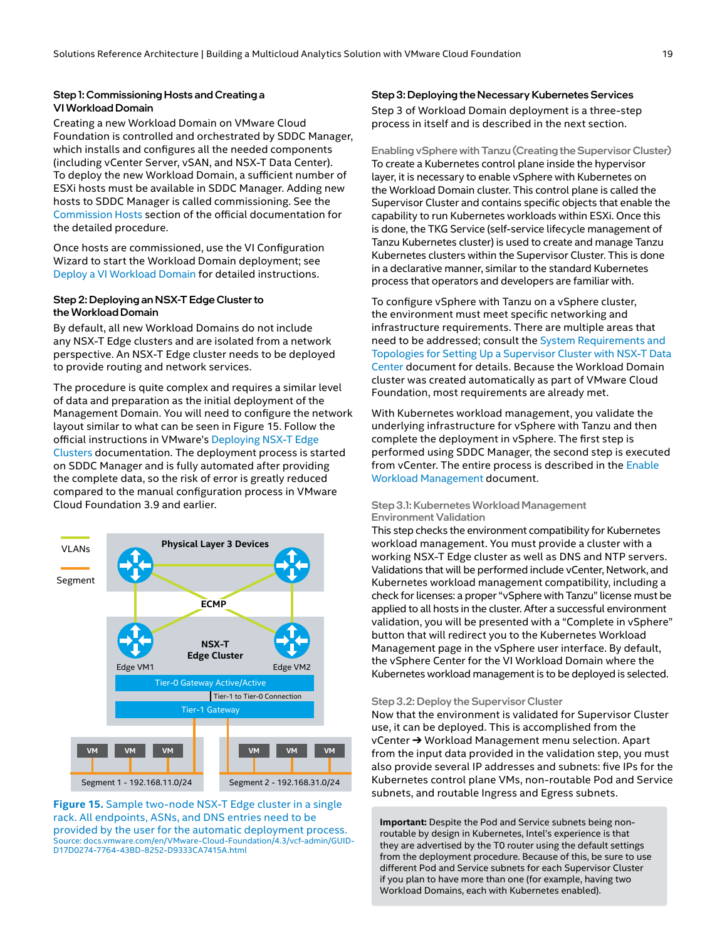#### Step 1: Commissioning Hosts and Creating a VI Workload Domain

Creating a new Workload Domain on VMware Cloud Foundation is controlled and orchestrated by SDDC Manager, which installs and configures all the needed components (including vCenter Server, vSAN, and NSX-T Data Center). To deploy the new Workload Domain, a sufficient number of ESXi hosts must be available in SDDC Manager. Adding new hosts to SDDC Manager is called commissioning. See the [Commission Hosts](https://docs.vmware.com/en/VMware-Cloud-Foundation/4.3/vcf-admin/GUID-45A77DE0-A38D-4655-85E2-BB8969C6993F.html) section of the official documentation for the detailed procedure.

Once hosts are commissioned, use the VI Configuration Wizard to start the Workload Domain deployment; see [Deploy a VI Workload Domain](https://docs.vmware.com/en/VMware-Cloud-Foundation/4.3/vcf-admin/GUID-E64CEFDD-DCA2-4D19-B5C5-D8ABE66407B8.html) for detailed instructions.

#### Step 2: Deploying an NSX-T Edge Cluster to the Workload Domain

By default, all new Workload Domains do not include any NSX-T Edge clusters and are isolated from a network perspective. An NSX-T Edge cluster needs to be deployed to provide routing and network services.

The procedure is quite complex and requires a similar level of data and preparation as the initial deployment of the Management Domain. You will need to configure the network layout similar to what can be seen in Figure 15. Follow the official instructions in VMware's [Deploying NSX-T Edge](https://docs.vmware.com/en/VMware-Cloud-Foundation/4.3/vcf-admin/GUID-8FA66DA3-3166-426B-84A8-C45FA7651658.html)  [Clusters](https://docs.vmware.com/en/VMware-Cloud-Foundation/4.3/vcf-admin/GUID-8FA66DA3-3166-426B-84A8-C45FA7651658.html) documentation. The deployment process is started on SDDC Manager and is fully automated after providing the complete data, so the risk of error is greatly reduced compared to the manual configuration process in VMware Cloud Foundation 3.9 and earlier.



**Figure 15.** Sample two-node NSX-T Edge cluster in a single rack. All endpoints, ASNs, and DNS entries need to be provided by the user for the automatic deployment process. Source: [docs.vmware.com/en/VMware-Cloud-Foundation/4.3/vcf-admin/GUID-](https://docs.vmware.com/en/VMware-Cloud-Foundation/4.3/vcf-admin/GUID-D17D0274-7764-43BD-8252-D9333CA7415A.html)[D17D0274-7764-43BD-8252-D9333CA7415A.html](https://docs.vmware.com/en/VMware-Cloud-Foundation/4.3/vcf-admin/GUID-D17D0274-7764-43BD-8252-D9333CA7415A.html)

#### Step 3: Deploying the Necessary Kubernetes Services Step 3 of Workload Domain deployment is a three-step process in itself and is described in the next section.

Enabling vSphere with Tanzu (Creating the Supervisor Cluster) To create a Kubernetes control plane inside the hypervisor layer, it is necessary to enable vSphere with Kubernetes on the Workload Domain cluster. This control plane is called the Supervisor Cluster and contains specific objects that enable the capability to run Kubernetes workloads within ESXi. Once this is done, the TKG Service (self-service lifecycle management of Tanzu Kubernetes cluster) is used to create and manage Tanzu Kubernetes clusters within the Supervisor Cluster. This is done in a declarative manner, similar to the standard Kubernetes process that operators and developers are familiar with.

To configure vSphere with Tanzu on a vSphere cluster, the environment must meet specific networking and infrastructure requirements. There are multiple areas that need to be addressed; consult the [System Requirements and](https://docs.vmware.com/en/VMware-vSphere/7.0/vmware-vsphere-with-tanzu/GUID-B1388E77-2EEC-41E2-8681-5AE549D50C77.html)  [Topologies for Setting Up a Supervisor Cluster with NSX-T Data](https://docs.vmware.com/en/VMware-vSphere/7.0/vmware-vsphere-with-tanzu/GUID-B1388E77-2EEC-41E2-8681-5AE549D50C77.html)  [Center](https://docs.vmware.com/en/VMware-vSphere/7.0/vmware-vsphere-with-tanzu/GUID-B1388E77-2EEC-41E2-8681-5AE549D50C77.html) document for details. Because the Workload Domain cluster was created automatically as part of VMware Cloud Foundation, most requirements are already met.

With Kubernetes workload management, you validate the underlying infrastructure for vSphere with Tanzu and then complete the deployment in vSphere. The first step is performed using SDDC Manager, the second step is executed from vCenter. The entire process is described in the [Enable](https://docs.vmware.com/en/VMware-Cloud-Foundation/4.3/vcf-admin/GUID-E8D0A432-8573-4DF5-9330-A4FE15F74128.html)  [Workload Management](https://docs.vmware.com/en/VMware-Cloud-Foundation/4.3/vcf-admin/GUID-E8D0A432-8573-4DF5-9330-A4FE15F74128.html) document.

#### Step 3.1: Kubernetes Workload Management Environment Validation

This step checks the environment compatibility for Kubernetes workload management. You must provide a cluster with a working NSX-T Edge cluster as well as DNS and NTP servers. Validations that will be performed include vCenter, Network, and Kubernetes workload management compatibility, including a check for licenses: a proper "vSphere with Tanzu" license must be applied to all hosts in the cluster. After a successful environment validation, you will be presented with a "Complete in vSphere" button that will redirect you to the Kubernetes Workload Management page in the vSphere user interface. By default, the vSphere Center for the VI Workload Domain where the Kubernetes workload management is to be deployed is selected.

#### Step 3.2: Deploy the Supervisor Cluster

Now that the environment is validated for Supervisor Cluster use, it can be deployed. This is accomplished from the vCenter ➔ Workload Management menu selection. Apart from the input data provided in the validation step, you must also provide several IP addresses and subnets: five IPs for the Kubernetes control plane VMs, non-routable Pod and Service subnets, and routable Ingress and Egress subnets.

**Important:** Despite the Pod and Service subnets being nonroutable by design in Kubernetes, Intel's experience is that they are advertised by the T0 router using the default settings from the deployment procedure. Because of this, be sure to use different Pod and Service subnets for each Supervisor Cluster if you plan to have more than one (for example, having two Workload Domains, each with Kubernetes enabled).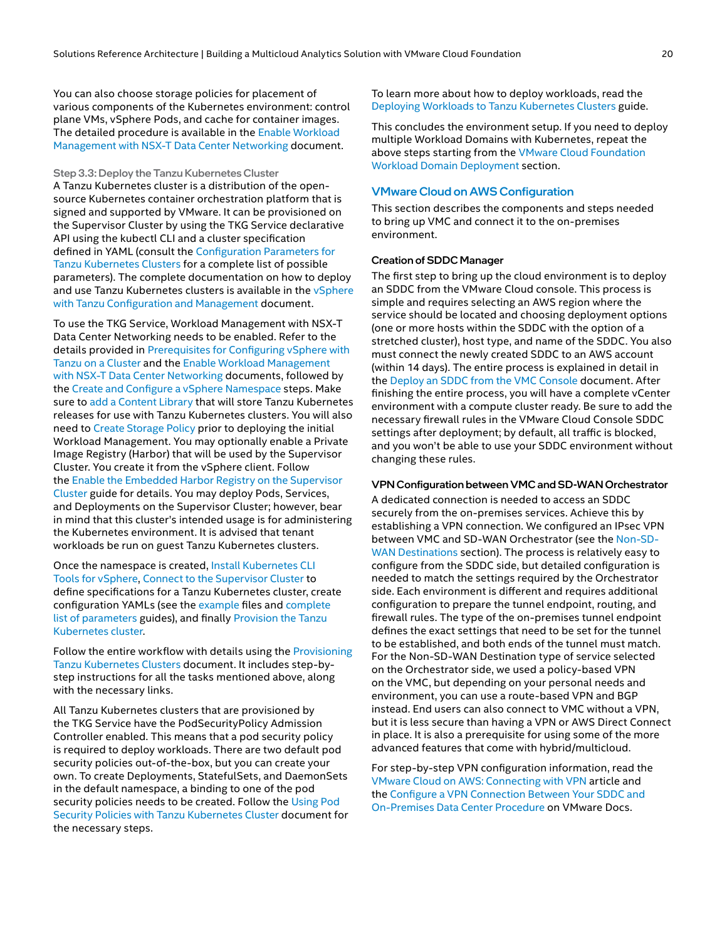You can also choose storage policies for placement of various components of the Kubernetes environment: control plane VMs, vSphere Pods, and cache for container images. The detailed procedure is available in the [Enable Workload](https://docs.vmware.com/en/VMware-vSphere/7.0/vmware-vsphere-with-tanzu/GUID-287138F0-1FFD-4774-BBB9-A1FAB932D1C4.html)  [Management with NSX-T Data Center Networking](https://docs.vmware.com/en/VMware-vSphere/7.0/vmware-vsphere-with-tanzu/GUID-287138F0-1FFD-4774-BBB9-A1FAB932D1C4.html) document.

Step 3.3: Deploy the Tanzu Kubernetes Cluster A Tanzu Kubernetes cluster is a distribution of the opensource Kubernetes container orchestration platform that is signed and supported by VMware. It can be provisioned on the Supervisor Cluster by using the TKG Service declarative API using the kubectl CLI and a cluster specification defined in YAML (consult the [Configuration Parameters for](https://docs.vmware.com/en/VMware-vSphere/7.0/vmware-vsphere-with-tanzu/GUID-4E68C7F2-C948-489A-A909-C7A1F3DC545F.html)  [Tanzu Kubernetes Clusters](https://docs.vmware.com/en/VMware-vSphere/7.0/vmware-vsphere-with-tanzu/GUID-4E68C7F2-C948-489A-A909-C7A1F3DC545F.html) for a complete list of possible parameters). The complete documentation on how to deploy and use Tanzu Kubernetes clusters is available in the *vSphere* [with Tanzu Configuration and Management](https://docs.vmware.com/en/VMware-vSphere/7.0/vmware-vsphere-with-tanzu/GUID-152BE7D2-E227-4DAA-B527-557B564D9718.html) document.

To use the TKG Service, Workload Management with NSX-T Data Center Networking needs to be enabled. Refer to the details provided in Prerequisites for Configuring vSphere with [Tanzu on a Cluster](https://docs.vmware.com/en/VMware-vSphere/7.0/vmware-vsphere-with-tanzu/GUID-EE236215-DA4D-4579-8BEB-A693D1882C77.html) and the [Enable Workload Management](https://docs.vmware.com/en/VMware-vSphere/7.0/vmware-vsphere-with-tanzu/GUID-287138F0-1FFD-4774-BBB9-A1FAB932D1C4.html)  [with NSX-T Data Center Networking](https://docs.vmware.com/en/VMware-vSphere/7.0/vmware-vsphere-with-tanzu/GUID-287138F0-1FFD-4774-BBB9-A1FAB932D1C4.html) documents, followed by the [Create and Configure a vSphere Namespace](https://docs.vmware.com/en/VMware-vSphere/7.0/vmware-vsphere-with-tanzu/GUID-177C23C4-ED81-4ADD-89A2-61654C18201B.html) steps. Make sure to [add a Content Library](https://docs.vmware.com/en/VMware-vSphere/7.0/vmware-vsphere-with-tanzu/GUID-209AAB32-B2ED-4CDF-AE62-B0FAD9D34C2F.html) that will store Tanzu Kubernetes releases for use with Tanzu Kubernetes clusters. You will also need to [Create Storage Policy](https://docs.vmware.com/en/VMware-vSphere/7.0/vmware-vsphere-with-tanzu/GUID-544286A2-A403-4CA5-9C73-8EFF261545E7.html) prior to deploying the initial Workload Management. You may optionally enable a Private Image Registry (Harbor) that will be used by the Supervisor Cluster. You create it from the vSphere client. Follow the [Enable the Embedded Harbor Registry on the Supervisor](https://docs.vmware.com/en/VMware-vSphere/7.0/vmware-vsphere-with-tanzu/GUID-AE24CF79-3C74-4CCD-B7C7-757AD082D86A.html)  [Cluster](https://docs.vmware.com/en/VMware-vSphere/7.0/vmware-vsphere-with-tanzu/GUID-AE24CF79-3C74-4CCD-B7C7-757AD082D86A.html) guide for details. You may deploy Pods, Services, and Deployments on the Supervisor Cluster; however, bear in mind that this cluster's intended usage is for administering the Kubernetes environment. It is advised that tenant workloads be run on guest Tanzu Kubernetes clusters.

Once the namespace is created, [Install Kubernetes CLI](https://docs.vmware.com/en/VMware-vSphere/7.0/vmware-vsphere-with-tanzu/GUID-0F6E45C4-3CB1-4562-9370-686668519FCA.html)  [Tools for vSphere](https://docs.vmware.com/en/VMware-vSphere/7.0/vmware-vsphere-with-tanzu/GUID-0F6E45C4-3CB1-4562-9370-686668519FCA.html), [Connect to the Supervisor Cluster](https://docs.vmware.com/en/VMware-vSphere/7.0/vmware-vsphere-with-tanzu/GUID-F5114388-1838-4B3B-8A8D-4AE17F33526A.html) to define specifications for a Tanzu Kubernetes cluster, create configuration YAMLs (see the [example](https://docs.vmware.com/en/VMware-vSphere/7.0/vmware-vsphere-with-tanzu/GUID-B1034373-8C38-4FE2-9517-345BF7271A1E.html) files and [complete](https://docs.vmware.com/en/VMware-vSphere/7.0/vmware-vsphere-with-tanzu/GUID-4E68C7F2-C948-489A-A909-C7A1F3DC545F.html)  [list of parameters](https://docs.vmware.com/en/VMware-vSphere/7.0/vmware-vsphere-with-tanzu/GUID-4E68C7F2-C948-489A-A909-C7A1F3DC545F.html) guides), and finally [Provision the Tanzu](https://docs.vmware.com/en/VMware-vSphere/7.0/vmware-vsphere-with-tanzu/GUID-3040E41B-8A54-4D23-8796-A123E7CAE3BA.html)  [Kubernetes cluster](https://docs.vmware.com/en/VMware-vSphere/7.0/vmware-vsphere-with-tanzu/GUID-3040E41B-8A54-4D23-8796-A123E7CAE3BA.html).

Follow the entire workflow with details using the [Provisioning](https://docs.vmware.com/en/VMware-vSphere/7.0/vmware-vsphere-with-tanzu/GUID-3040E41B-8A54-4D23-8796-A123E7CAE3BA.html)  Tanzu [Kubernetes Clusters](https://docs.vmware.com/en/VMware-vSphere/7.0/vmware-vsphere-with-tanzu/GUID-3040E41B-8A54-4D23-8796-A123E7CAE3BA.html) document. It includes step-bystep instructions for all the tasks mentioned above, along with the necessary links.

All Tanzu Kubernetes clusters that are provisioned by the TKG Service have the PodSecurityPolicy Admission Controller enabled. This means that a pod security policy is required to deploy workloads. There are two default pod security policies out-of-the-box, but you can create your own. To create Deployments, StatefulSets, and DaemonSets in the default namespace, a binding to one of the pod security policies needs to be created. Follow the Using Pod [Security Policies with Tanzu Kubernetes Cluster](https://docs.vmware.com/en/VMware-vSphere/7.0/vmware-vsphere-with-tanzu/GUID-CD033D1D-BAD2-41C4-A46F-647A560BAEAB.html) document for the necessary steps.

To learn more about how to deploy workloads, read the [Deploying Workloads to Tanzu Kubernetes Clusters](https://docs.vmware.com/en/VMware-vSphere/7.0/vmware-vsphere-with-tanzu/GUID-E217C538-2241-4FD9-9D67-6A54E97CA800.html) guide.

This concludes the environment setup. If you need to deploy multiple Workload Domains with Kubernetes, repeat the above steps starting from the [VMware Cloud Foundation](#page-17-0)  [Workload Domain](#page-17-0) Deployment section.

#### VMware Cloud on AWS Configuration

This section describes the components and steps needed to bring up VMC and connect it to the on‑premises environment.

#### Creation of SDDC Manager

The first step to bring up the cloud environment is to deploy an SDDC from the VMware Cloud console. This process is simple and requires selecting an AWS region where the service should be located and choosing deployment options (one or more hosts within the SDDC with the option of a stretched cluster), host type, and name of the SDDC. You also must connect the newly created SDDC to an AWS account (within 14 days). The entire process is explained in detail in the [Deploy an SDDC from the VMC Console](https://docs.vmware.com/en/VMware-Cloud-on-AWS/services/com.vmware.vmc-aws.getting-started/GUID-EF198D55-03E3-44D1-AC48-6E2ABA31FF02.html) document. After finishing the entire process, you will have a complete vCenter environment with a compute cluster ready. Be sure to add the necessary firewall rules in the VMware Cloud Console SDDC settings after deployment; by default, all traffic is blocked, and you won't be able to use your SDDC environment without changing these rules.

#### VPN Configuration between VMC and SD-WAN Orchestrator

A dedicated connection is needed to access an SDDC securely from the on-premises services. Achieve this by establishing a VPN connection. We configured an IPsec VPN between VMC and SD-WAN Orchestrator (see the [Non-SD-](#page-16-1)[WAN Destinations](#page-16-1) section). The process is relatively easy to configure from the SDDC side, but detailed configuration is needed to match the settings required by the Orchestrator side. Each environment is different and requires additional configuration to prepare the tunnel endpoint, routing, and firewall rules. The type of the on-premises tunnel endpoint defines the exact settings that need to be set for the tunnel to be established, and both ends of the tunnel must match. For the Non-SD-WAN Destination type of service selected on the Orchestrator side, we used a policy-based VPN on the VMC, but depending on your personal needs and environment, you can use a route-based VPN and BGP instead. End users can also connect to VMC without a VPN, but it is less secure than having a VPN or AWS Direct Connect in place. It is also a prerequisite for using some of the more advanced features that come with hybrid/multicloud.

For step-by-step VPN configuration information, read the [VMware Cloud on AWS: Connecting with VPN](https://blogs.vmware.com/cloud/2017/10/19/vmware-cloud-aws-connecting-vpn/) article and the [Configure a VPN Connection Between Your SDDC and](https://docs.vmware.com/en/VMware-Cloud-on-AWS/services/com.vmware.vmc-aws.networking-security/GUID-92F6C09E-8E74-430E-8F79-C2E5B2150ADA.html)  [On‑Premises Data Center Procedure](https://docs.vmware.com/en/VMware-Cloud-on-AWS/services/com.vmware.vmc-aws.networking-security/GUID-92F6C09E-8E74-430E-8F79-C2E5B2150ADA.html) on VMware Docs.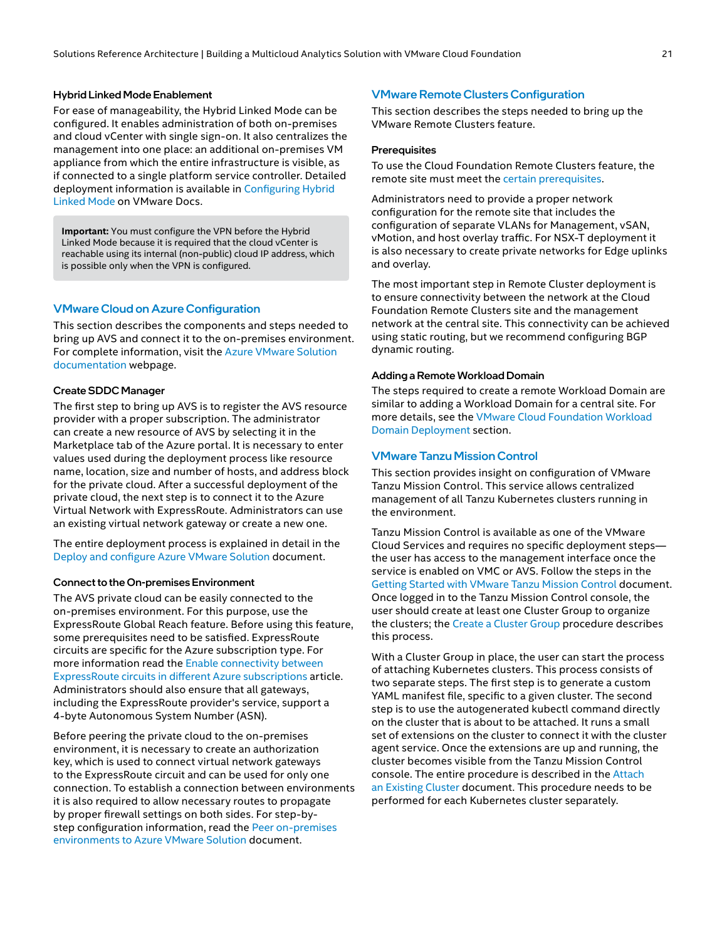#### Hybrid Linked Mode Enablement

For ease of manageability, the Hybrid Linked Mode can be configured. It enables administration of both on-premises and cloud vCenter with single sign-on. It also centralizes the management into one place: an additional on-premises VM appliance from which the entire infrastructure is visible, as if connected to a single platform service controller. Detailed deployment information is available in [Configuring Hybrid](https://docs.vmware.com/en/VMware-Cloud-on-AWS/services/com.vmware.vsphere.vmc-aws-manage-data-center-vms.doc/GUID-91C57891-4D61-4F4C-B580-74F3000B831D.html)  [Linked Mode](https://docs.vmware.com/en/VMware-Cloud-on-AWS/services/com.vmware.vsphere.vmc-aws-manage-data-center-vms.doc/GUID-91C57891-4D61-4F4C-B580-74F3000B831D.html) on VMware Docs.

**Important:** You must configure the VPN before the Hybrid Linked Mode because it is required that the cloud vCenter is reachable using its internal (non-public) cloud IP address, which is possible only when the VPN is configured.

#### VMware Cloud on Azure Configuration

This section describes the components and steps needed to bring up AVS and connect it to the on‑premises environment. For complete information, visit the [Azure VMware Solution](https://docs.microsoft.com/en-us/azure/azure-vmware/)  [documentation](https://docs.microsoft.com/en-us/azure/azure-vmware/) webpage.

#### Create SDDC Manager

The first step to bring up AVS is to register the AVS resource provider with a proper subscription. The administrator can create a new resource of AVS by selecting it in the Marketplace tab of the Azure portal. It is necessary to enter values used during the deployment process like resource name, location, size and number of hosts, and address block for the private cloud. After a successful deployment of the private cloud, the next step is to connect it to the Azure Virtual Network with ExpressRoute. Administrators can use an existing virtual network gateway or create a new one.

The entire deployment process is explained in detail in the [Deploy and configure Azure VMware Solution](https://docs.microsoft.com/en-us/azure/azure-vmware/deploy-azure-vmware-solution?tabs=azure-portal) document.

#### Connect to the On-premises Environment

The AVS private cloud can be easily connected to the on‑premises environment. For this purpose, use the ExpressRoute Global Reach feature. Before using this feature, some prerequisites need to be satisfied. ExpressRoute circuits are specific for the Azure subscription type. For more information read the [Enable connectivity between](https://docs.microsoft.com/en-us/azure/expressroute/expressroute-howto-set-global-reach-cli#enable-connectivity-between-expressroute-circuits-in-different-azure-subscriptions)  [ExpressRoute circuits in different Azure subscriptions](https://docs.microsoft.com/en-us/azure/expressroute/expressroute-howto-set-global-reach-cli#enable-connectivity-between-expressroute-circuits-in-different-azure-subscriptions) article. Administrators should also ensure that all gateways, including the ExpressRoute provider's service, support a 4-byte Autonomous System Number (ASN).

Before peering the private cloud to the on-premises environment, it is necessary to create an authorization key, which is used to connect virtual network gateways to the ExpressRoute circuit and can be used for only one connection. To establish a connection between environments it is also required to allow necessary routes to propagate by proper firewall settings on both sides. For step-bystep configuration information, read the Peer on-premises [environments to Azure VMware Solution](https://docs.microsoft.com/en-us/azure/azure-vmware/tutorial-expressroute-global-reach-private-cloud) document.

#### VMware Remote Clusters Configuration

This section describes the steps needed to bring up the VMware Remote Clusters feature.

#### **Prerequisites**

To use the Cloud Foundation Remote Clusters feature, the remote site must meet the [certain prerequisites.](https://docs.vmware.com/en/VMware-Cloud-Foundation/4.3/vcf-admin/GUID-9798BCA7-7CBF-4F59-9586-6A0BF0165021.html)

Administrators need to provide a proper network configuration for the remote site that includes the configuration of separate VLANs for Management, vSAN, vMotion, and host overlay traffic. For NSX-T deployment it is also necessary to create private networks for Edge uplinks and overlay.

The most important step in Remote Cluster deployment is to ensure connectivity between the network at the Cloud Foundation Remote Clusters site and the management network at the central site. This connectivity can be achieved using static routing, but we recommend configuring BGP dynamic routing.

#### Adding a Remote Workload Domain

The steps required to create a remote Workload Domain are similar to adding a Workload Domain for a central site. For more details, see the [VMware Cloud Foundation Workload](#page-17-0)  Domain [Deployment](#page-17-0) section.

#### VMware Tanzu Mission Control

This section provides insight on configuration of VMware Tanzu Mission Control. This service allows centralized management of all Tanzu Kubernetes clusters running in the environment.

Tanzu Mission Control is available as one of the VMware Cloud Services and requires no specific deployment steps the user has access to the management interface once the service is enabled on VMC or AVS. Follow the steps in the [Getting Started with VMware Tanzu Mission Control](https://docs.vmware.com/en/VMware-Tanzu-Mission-Control/services/tanzumc-getstart/GUID-6BCCD353-CE6A-494B-A1E4-72304DC9FA7F.html) document. Once logged in to the Tanzu Mission Control console, the user should create at least one Cluster Group to organize the clusters; the [Create a Cluster Group](https://docs.vmware.com/en/VMware-Tanzu-Mission-Control/services/tanzumc-getstart/GUID-07782073-0803-4D93-9F27-D2F6EF2EBBAC.html) procedure describes this process.

With a Cluster Group in place, the user can start the process of attaching Kubernetes clusters. This process consists of two separate steps. The first step is to generate a custom YAML manifest file, specific to a given cluster. The second step is to use the autogenerated kubectl command directly on the cluster that is about to be attached. It runs a small set of extensions on the cluster to connect it with the cluster agent service. Once the extensions are up and running, the cluster becomes visible from the Tanzu Mission Control console. The entire procedure is described in the [Attach](https://docs.vmware.com/en/VMware-Tanzu-Mission-Control/services/tanzumc-getstart/GUID-F0162E40-8D47-45D7-9EA1-83B64B380F5C.html)  [an Existing Cluster](https://docs.vmware.com/en/VMware-Tanzu-Mission-Control/services/tanzumc-getstart/GUID-F0162E40-8D47-45D7-9EA1-83B64B380F5C.html) document. This procedure needs to be performed for each Kubernetes cluster separately.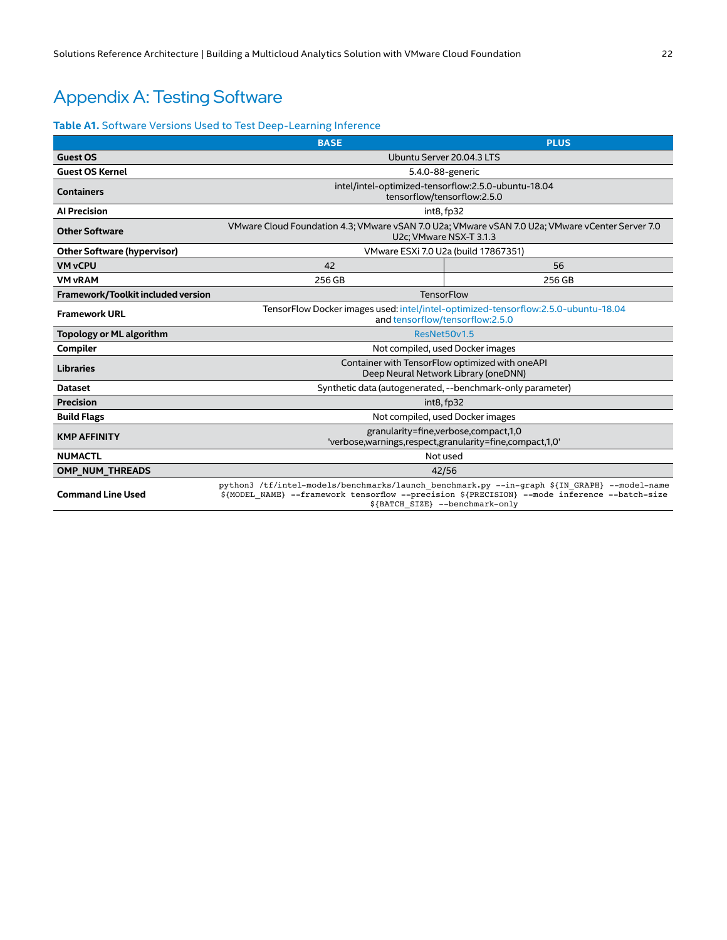## <span id="page-21-1"></span><span id="page-21-0"></span>Appendix A: Testing Software

#### **Table A1.** Software Versions Used to Test Deep-Learning Inference

|                                    | <b>BASE</b>                                                                                                                                                                                                                      | <b>PLUS</b> |  |
|------------------------------------|----------------------------------------------------------------------------------------------------------------------------------------------------------------------------------------------------------------------------------|-------------|--|
| <b>Guest OS</b>                    | Ubuntu Server 20.04.3 LTS                                                                                                                                                                                                        |             |  |
| <b>Guest OS Kernel</b>             | 5.4.0-88-generic                                                                                                                                                                                                                 |             |  |
| <b>Containers</b>                  | intel/intel-optimized-tensorflow:2.5.0-ubuntu-18.04<br>tensorflow/tensorflow:2.5.0                                                                                                                                               |             |  |
| <b>Al Precision</b>                | int8, fp32                                                                                                                                                                                                                       |             |  |
| <b>Other Software</b>              | VMware Cloud Foundation 4.3; VMware vSAN 7.0 U2a; VMware vSAN 7.0 U2a; VMware vCenter Server 7.0<br>U2c; VMware NSX-T 3.1.3                                                                                                      |             |  |
| <b>Other Software (hypervisor)</b> | VMware ESXi 7.0 U2a (build 17867351)                                                                                                                                                                                             |             |  |
| <b>VM vCPU</b>                     | 42                                                                                                                                                                                                                               | 56          |  |
| <b>VM vRAM</b>                     | 256 GB                                                                                                                                                                                                                           | 256 GB      |  |
| Framework/Toolkit included version | TensorFlow                                                                                                                                                                                                                       |             |  |
| <b>Framework URL</b>               | TensorFlow Docker images used: intel/intel-optimized-tensorflow:2.5.0-ubuntu-18.04<br>and tensorflow/tensorflow:2.5.0                                                                                                            |             |  |
| Topology or ML algorithm           | ResNet50v1.5                                                                                                                                                                                                                     |             |  |
| Compiler                           | Not compiled, used Docker images                                                                                                                                                                                                 |             |  |
| <b>Libraries</b>                   | Container with TensorFlow optimized with oneAPI<br>Deep Neural Network Library (oneDNN)                                                                                                                                          |             |  |
| <b>Dataset</b>                     | Synthetic data (autogenerated, --benchmark-only parameter)                                                                                                                                                                       |             |  |
| <b>Precision</b>                   | int8, fp32                                                                                                                                                                                                                       |             |  |
| <b>Build Flags</b>                 | Not compiled, used Docker images                                                                                                                                                                                                 |             |  |
| <b>KMP AFFINITY</b>                | granularity=fine, verbose, compact, 1,0<br>'verbose,warnings,respect,granularity=fine,compact,1,0'                                                                                                                               |             |  |
| <b>NUMACTL</b>                     | Not used                                                                                                                                                                                                                         |             |  |
| <b>OMP NUM THREADS</b>             | 42/56                                                                                                                                                                                                                            |             |  |
| <b>Command Line Used</b>           | python3 /tf/intel-models/benchmarks/launch benchmark.py --in-graph \${IN GRAPH} --model-name<br>\${MODEL NAME} --framework tensorflow --precision \${PRECISION} --mode inference --batch-size<br>\${BATCH SIZE} --benchmark-only |             |  |